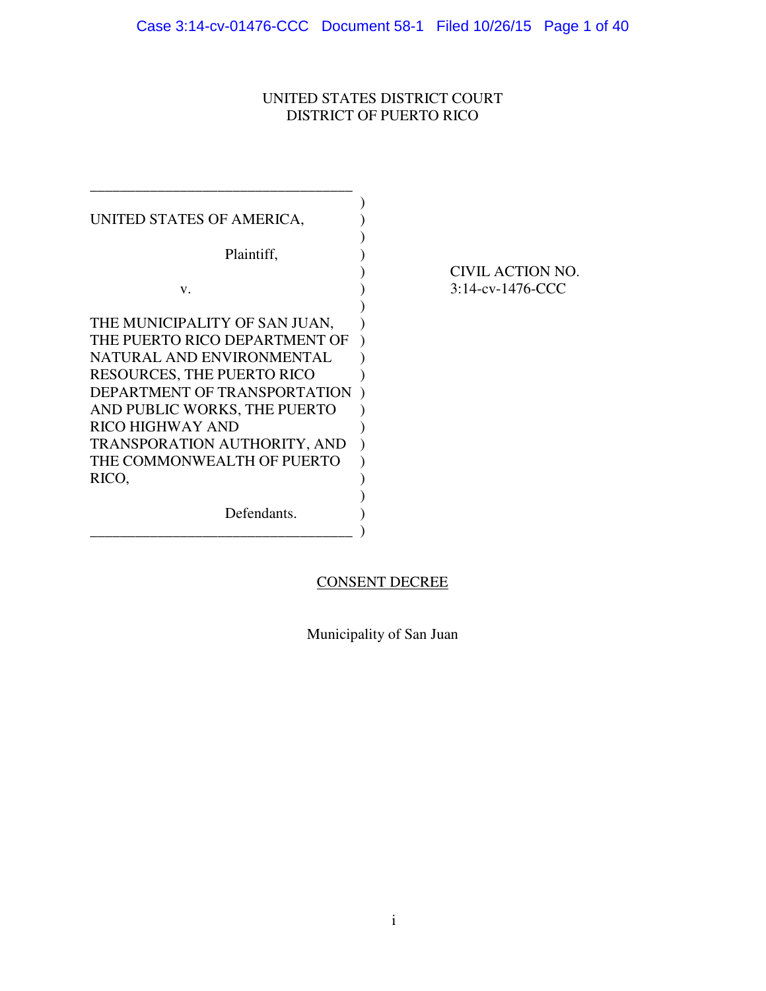## UNITED STATES DISTRICT COURT DISTRICT OF PUERTO RICO

| UNITED STATES OF AMERICA,                                         |                                         |
|-------------------------------------------------------------------|-----------------------------------------|
| Plaintiff,                                                        |                                         |
| V.                                                                | CIVIL ACTION NO.<br>$3:14$ -cv-1476-CCC |
| THE MUNICIPALITY OF SAN JUAN,                                     |                                         |
| THE PUERTO RICO DEPARTMENT OF<br>NATURAL AND ENVIRONMENTAL        |                                         |
| <b>RESOURCES, THE PUERTO RICO</b><br>DEPARTMENT OF TRANSPORTATION |                                         |
| AND PUBLIC WORKS, THE PUERTO<br><b>RICO HIGHWAY AND</b>           |                                         |
| TRANSPORATION AUTHORITY, AND<br>THE COMMONWEALTH OF PUERTO        |                                         |
| RICO,                                                             |                                         |
| Defendants.                                                       |                                         |
|                                                                   |                                         |

# CONSENT DECREE

Municipality of San Juan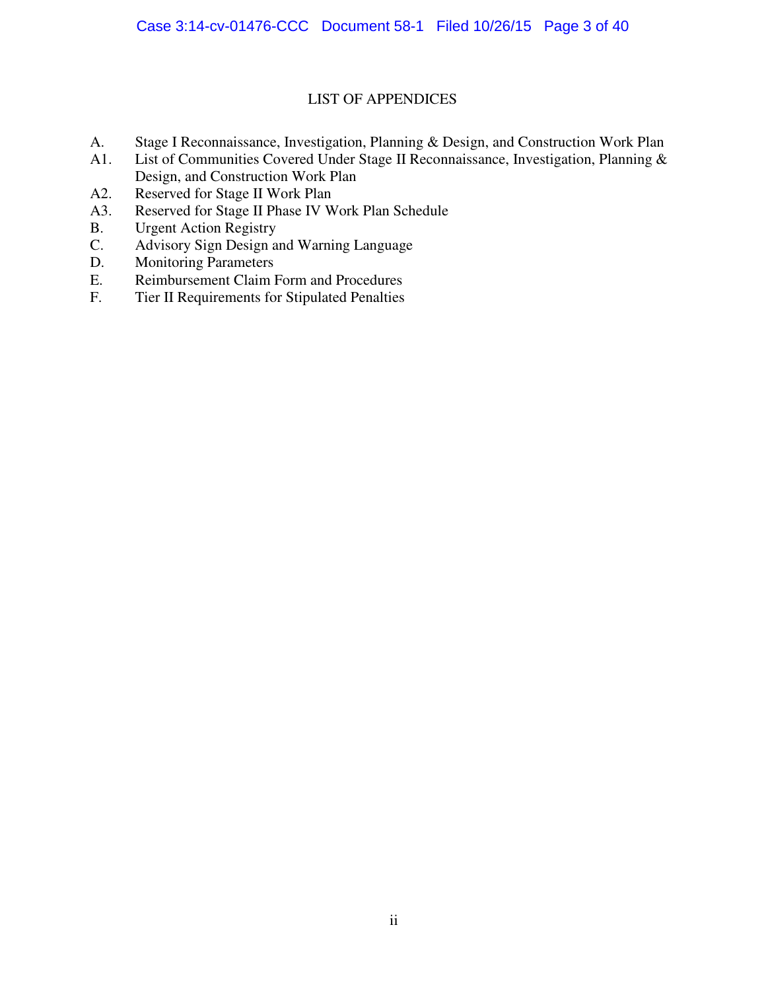## LIST OF APPENDICES

- A. Stage I Reconnaissance, Investigation, Planning & Design, and Construction Work Plan
- A1. List of Communities Covered Under Stage II Reconnaissance, Investigation, Planning & Design, and Construction Work Plan
- A2. Reserved for Stage II Work Plan
- A3. Reserved for Stage II Phase IV Work Plan Schedule
- B. Urgent Action Registry
- C. Advisory Sign Design and Warning Language
- D. Monitoring Parameters
- E. Reimbursement Claim Form and Procedures<br>F. Tier II Requirements for Stipulated Penalties
- Tier II Requirements for Stipulated Penalties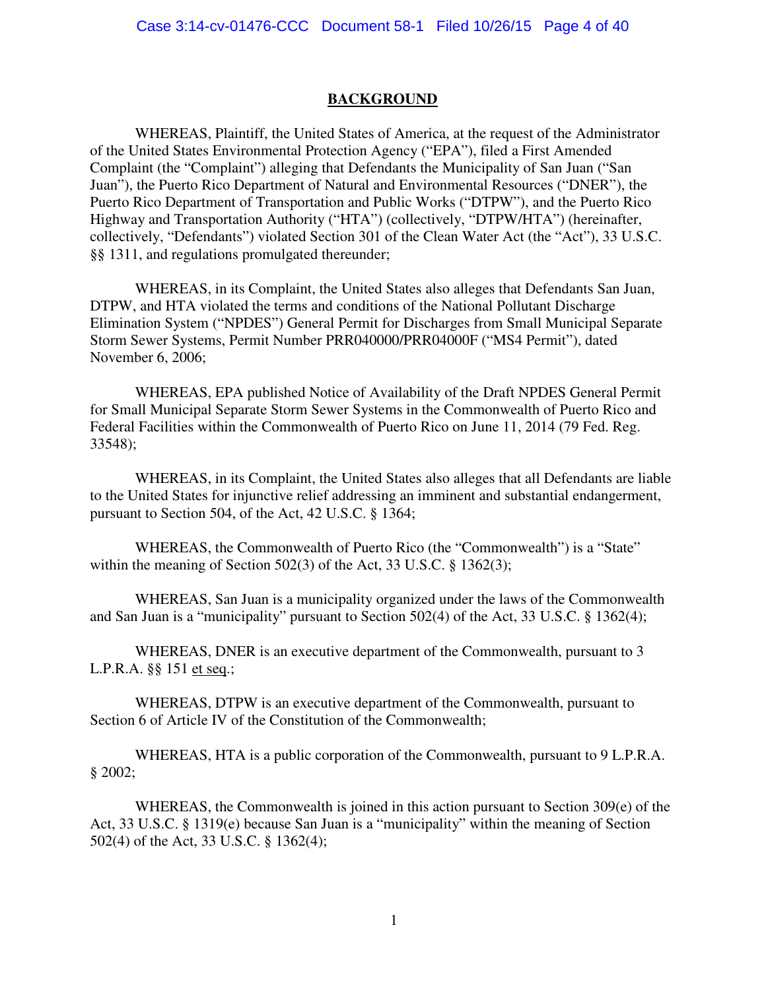#### **BACKGROUND**

<span id="page-3-0"></span>WHEREAS, Plaintiff, the United States of America, at the request of the Administrator of the United States Environmental Protection Agency ("EPA"), filed a First Amended Complaint (the "Complaint") alleging that Defendants the Municipality of San Juan ("San Juan"), the Puerto Rico Department of Natural and Environmental Resources ("DNER"), the Puerto Rico Department of Transportation and Public Works ("DTPW"), and the Puerto Rico Highway and Transportation Authority ("HTA") (collectively, "DTPW/HTA") (hereinafter, collectively, "Defendants") violated Section 301 of the Clean Water Act (the "Act"), 33 U.S.C. §§ 1311, and regulations promulgated thereunder;

WHEREAS, in its Complaint, the United States also alleges that Defendants San Juan, DTPW, and HTA violated the terms and conditions of the National Pollutant Discharge Elimination System ("NPDES") General Permit for Discharges from Small Municipal Separate Storm Sewer Systems, Permit Number PRR040000/PRR04000F ("MS4 Permit"), dated November 6, 2006;

WHEREAS, EPA published Notice of Availability of the Draft NPDES General Permit for Small Municipal Separate Storm Sewer Systems in the Commonwealth of Puerto Rico and Federal Facilities within the Commonwealth of Puerto Rico on June 11, 2014 (79 Fed. Reg. 33548);

WHEREAS, in its Complaint, the United States also alleges that all Defendants are liable to the United States for injunctive relief addressing an imminent and substantial endangerment, pursuant to Section 504, of the Act, 42 U.S.C. § 1364;

 WHEREAS, the Commonwealth of Puerto Rico (the "Commonwealth") is a "State" within the meaning of Section 502(3) of the Act, 33 U.S.C. § 1362(3);

WHEREAS, San Juan is a municipality organized under the laws of the Commonwealth and San Juan is a "municipality" pursuant to Section 502(4) of the Act, 33 U.S.C. § 1362(4);

WHEREAS, DNER is an executive department of the Commonwealth, pursuant to 3 L.P.R.A. §§ 151 et seq.;

WHEREAS, DTPW is an executive department of the Commonwealth, pursuant to Section 6 of Article IV of the Constitution of the Commonwealth;

WHEREAS, HTA is a public corporation of the Commonwealth, pursuant to 9 L.P.R.A. § 2002;

WHEREAS, the Commonwealth is joined in this action pursuant to Section 309(e) of the Act, 33 U.S.C. § 1319(e) because San Juan is a "municipality" within the meaning of Section 502(4) of the Act, 33 U.S.C. § 1362(4);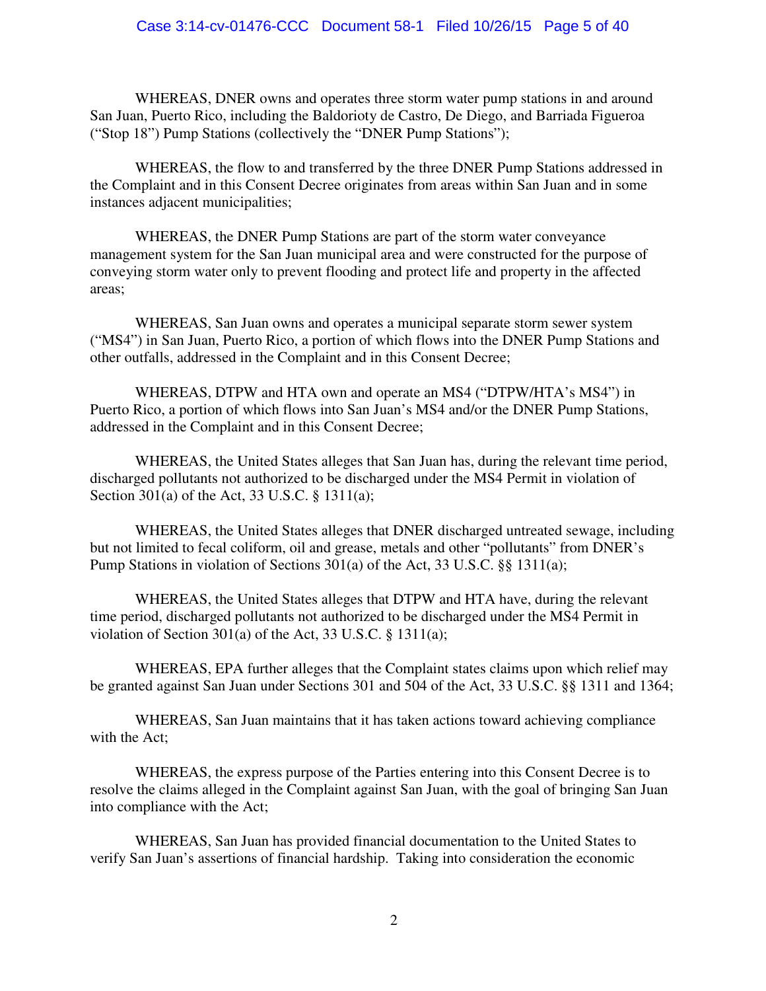WHEREAS, DNER owns and operates three storm water pump stations in and around San Juan, Puerto Rico, including the Baldorioty de Castro, De Diego, and Barriada Figueroa ("Stop 18") Pump Stations (collectively the "DNER Pump Stations");

WHEREAS, the flow to and transferred by the three DNER Pump Stations addressed in the Complaint and in this Consent Decree originates from areas within San Juan and in some instances adjacent municipalities;

WHEREAS, the DNER Pump Stations are part of the storm water conveyance management system for the San Juan municipal area and were constructed for the purpose of conveying storm water only to prevent flooding and protect life and property in the affected areas;

WHEREAS, San Juan owns and operates a municipal separate storm sewer system ("MS4") in San Juan, Puerto Rico, a portion of which flows into the DNER Pump Stations and other outfalls, addressed in the Complaint and in this Consent Decree;

WHEREAS, DTPW and HTA own and operate an MS4 ("DTPW/HTA's MS4") in Puerto Rico, a portion of which flows into San Juan's MS4 and/or the DNER Pump Stations, addressed in the Complaint and in this Consent Decree;

WHEREAS, the United States alleges that San Juan has, during the relevant time period, discharged pollutants not authorized to be discharged under the MS4 Permit in violation of Section 301(a) of the Act, 33 U.S.C. § 1311(a);

WHEREAS, the United States alleges that DNER discharged untreated sewage, including but not limited to fecal coliform, oil and grease, metals and other "pollutants" from DNER's Pump Stations in violation of Sections 301(a) of the Act, 33 U.S.C. §§ 1311(a);

WHEREAS, the United States alleges that DTPW and HTA have, during the relevant time period, discharged pollutants not authorized to be discharged under the MS4 Permit in violation of Section 301(a) of the Act, 33 U.S.C. § 1311(a);

WHEREAS, EPA further alleges that the Complaint states claims upon which relief may be granted against San Juan under Sections 301 and 504 of the Act, 33 U.S.C. §§ 1311 and 1364;

WHEREAS, San Juan maintains that it has taken actions toward achieving compliance with the Act;

WHEREAS, the express purpose of the Parties entering into this Consent Decree is to resolve the claims alleged in the Complaint against San Juan, with the goal of bringing San Juan into compliance with the Act;

WHEREAS, San Juan has provided financial documentation to the United States to verify San Juan's assertions of financial hardship. Taking into consideration the economic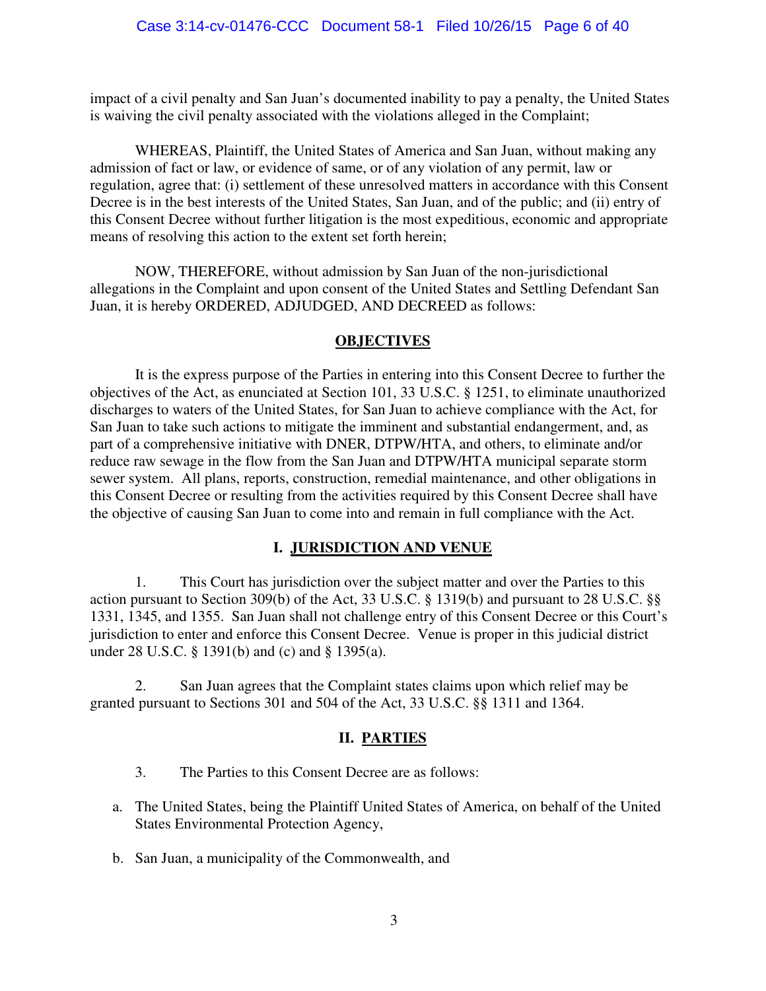impact of a civil penalty and San Juan's documented inability to pay a penalty, the United States is waiving the civil penalty associated with the violations alleged in the Complaint;

WHEREAS, Plaintiff, the United States of America and San Juan, without making any admission of fact or law, or evidence of same, or of any violation of any permit, law or regulation, agree that: (i) settlement of these unresolved matters in accordance with this Consent Decree is in the best interests of the United States, San Juan, and of the public; and (ii) entry of this Consent Decree without further litigation is the most expeditious, economic and appropriate means of resolving this action to the extent set forth herein;

NOW, THEREFORE, without admission by San Juan of the non-jurisdictional allegations in the Complaint and upon consent of the United States and Settling Defendant San Juan, it is hereby ORDERED, ADJUDGED, AND DECREED as follows:

## **OBJECTIVES**

<span id="page-5-0"></span>It is the express purpose of the Parties in entering into this Consent Decree to further the objectives of the Act, as enunciated at Section 101, 33 U.S.C. § 1251, to eliminate unauthorized discharges to waters of the United States, for San Juan to achieve compliance with the Act, for San Juan to take such actions to mitigate the imminent and substantial endangerment, and, as part of a comprehensive initiative with DNER, DTPW/HTA, and others, to eliminate and/or reduce raw sewage in the flow from the San Juan and DTPW/HTA municipal separate storm sewer system. All plans, reports, construction, remedial maintenance, and other obligations in this Consent Decree or resulting from the activities required by this Consent Decree shall have the objective of causing San Juan to come into and remain in full compliance with the Act.

## **I. JURISDICTION AND VENUE**

<span id="page-5-1"></span>1. This Court has jurisdiction over the subject matter and over the Parties to this action pursuant to Section 309(b) of the Act, 33 U.S.C. § 1319(b) and pursuant to 28 U.S.C. §§ 1331, 1345, and 1355. San Juan shall not challenge entry of this Consent Decree or this Court's jurisdiction to enter and enforce this Consent Decree. Venue is proper in this judicial district under 28 U.S.C. § 1391(b) and (c) and § 1395(a).

<span id="page-5-2"></span>2. San Juan agrees that the Complaint states claims upon which relief may be granted pursuant to Sections 301 and 504 of the Act, 33 U.S.C. §§ 1311 and 1364.

#### **II. PARTIES**

- 3. The Parties to this Consent Decree are as follows:
- a. The United States, being the Plaintiff United States of America, on behalf of the United States Environmental Protection Agency,
- b. San Juan, a municipality of the Commonwealth, and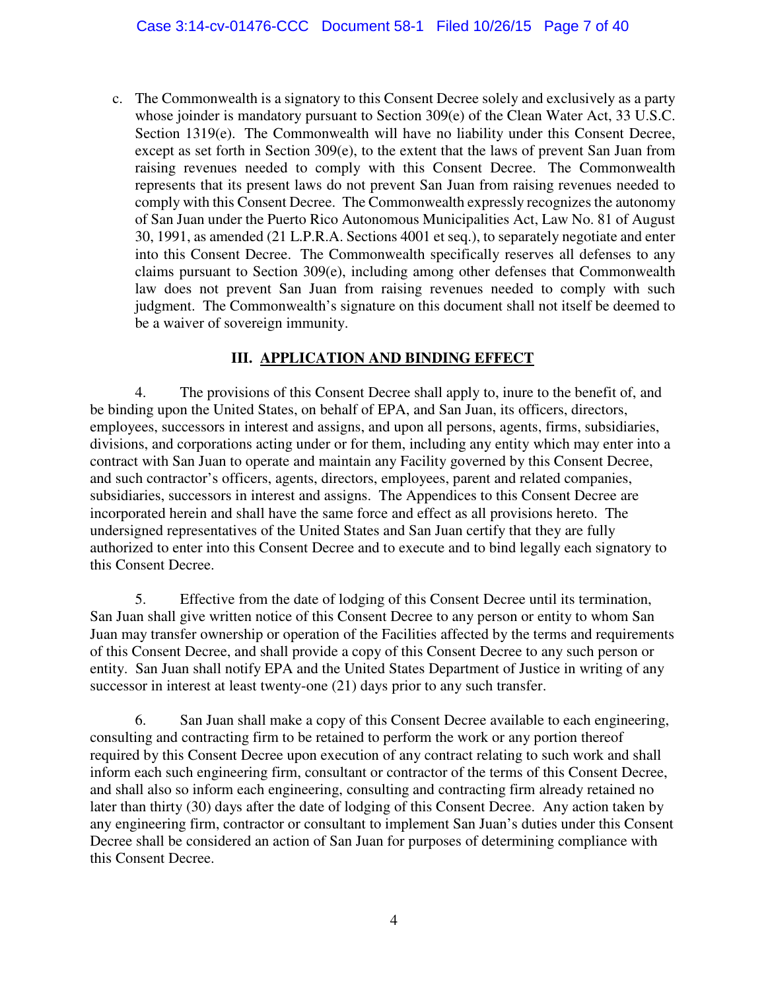c. The Commonwealth is a signatory to this Consent Decree solely and exclusively as a party whose joinder is mandatory pursuant to Section 309(e) of the Clean Water Act, 33 U.S.C. Section 1319(e). The Commonwealth will have no liability under this Consent Decree, except as set forth in Section 309(e), to the extent that the laws of prevent San Juan from raising revenues needed to comply with this Consent Decree. The Commonwealth represents that its present laws do not prevent San Juan from raising revenues needed to comply with this Consent Decree. The Commonwealth expressly recognizes the autonomy of San Juan under the Puerto Rico Autonomous Municipalities Act, Law No. 81 of August 30, 1991, as amended (21 L.P.R.A. Sections 4001 et seq.), to separately negotiate and enter into this Consent Decree. The Commonwealth specifically reserves all defenses to any claims pursuant to Section 309(e), including among other defenses that Commonwealth law does not prevent San Juan from raising revenues needed to comply with such judgment. The Commonwealth's signature on this document shall not itself be deemed to be a waiver of sovereign immunity.

# **III. APPLICATION AND BINDING EFFECT**

<span id="page-6-0"></span>4. The provisions of this Consent Decree shall apply to, inure to the benefit of, and be binding upon the United States, on behalf of EPA, and San Juan, its officers, directors, employees, successors in interest and assigns, and upon all persons, agents, firms, subsidiaries, divisions, and corporations acting under or for them, including any entity which may enter into a contract with San Juan to operate and maintain any Facility governed by this Consent Decree, and such contractor's officers, agents, directors, employees, parent and related companies, subsidiaries, successors in interest and assigns. The Appendices to this Consent Decree are incorporated herein and shall have the same force and effect as all provisions hereto. The undersigned representatives of the United States and San Juan certify that they are fully authorized to enter into this Consent Decree and to execute and to bind legally each signatory to this Consent Decree.

5. Effective from the date of lodging of this Consent Decree until its termination, San Juan shall give written notice of this Consent Decree to any person or entity to whom San Juan may transfer ownership or operation of the Facilities affected by the terms and requirements of this Consent Decree, and shall provide a copy of this Consent Decree to any such person or entity. San Juan shall notify EPA and the United States Department of Justice in writing of any successor in interest at least twenty-one (21) days prior to any such transfer.

6. San Juan shall make a copy of this Consent Decree available to each engineering, consulting and contracting firm to be retained to perform the work or any portion thereof required by this Consent Decree upon execution of any contract relating to such work and shall inform each such engineering firm, consultant or contractor of the terms of this Consent Decree, and shall also so inform each engineering, consulting and contracting firm already retained no later than thirty (30) days after the date of lodging of this Consent Decree. Any action taken by any engineering firm, contractor or consultant to implement San Juan's duties under this Consent Decree shall be considered an action of San Juan for purposes of determining compliance with this Consent Decree.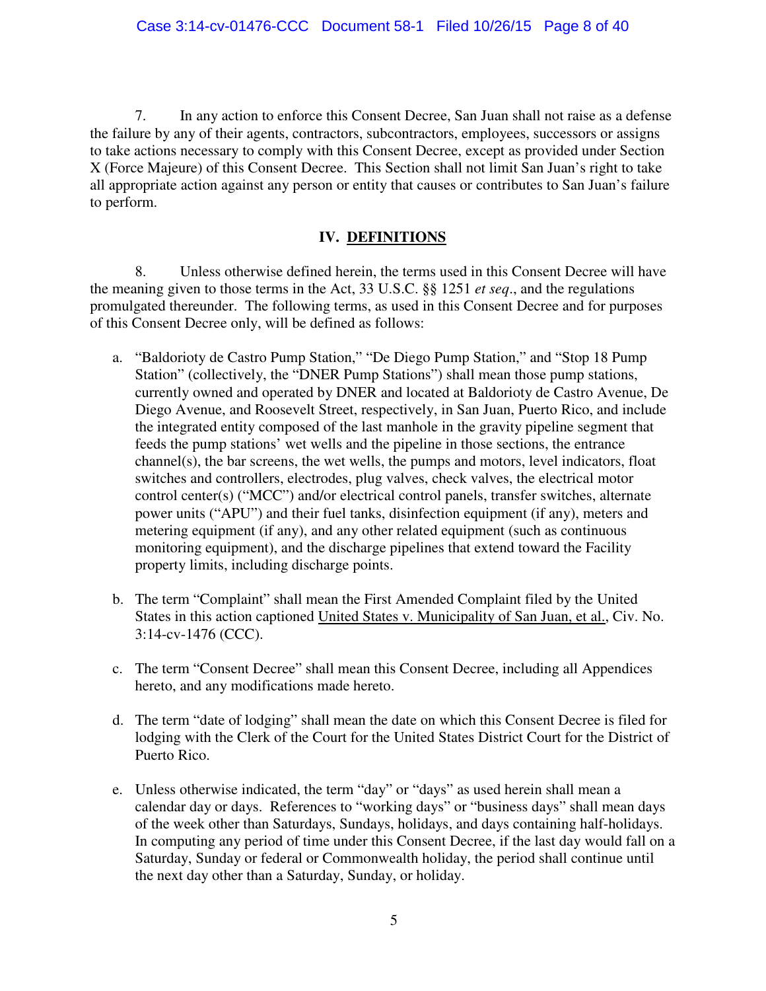7. In any action to enforce this Consent Decree, San Juan shall not raise as a defense the failure by any of their agents, contractors, subcontractors, employees, successors or assigns to take actions necessary to comply with this Consent Decree, except as provided under Section X (Force Majeure) of this Consent Decree. This Section shall not limit San Juan's right to take all appropriate action against any person or entity that causes or contributes to San Juan's failure to perform.

## **IV. DEFINITIONS**

<span id="page-7-0"></span>8. Unless otherwise defined herein, the terms used in this Consent Decree will have the meaning given to those terms in the Act, 33 U.S.C. §§ 1251 *et seq*., and the regulations promulgated thereunder. The following terms, as used in this Consent Decree and for purposes of this Consent Decree only, will be defined as follows:

- a. "Baldorioty de Castro Pump Station," "De Diego Pump Station," and "Stop 18 Pump Station" (collectively, the "DNER Pump Stations") shall mean those pump stations, currently owned and operated by DNER and located at Baldorioty de Castro Avenue, De Diego Avenue, and Roosevelt Street, respectively, in San Juan, Puerto Rico, and include the integrated entity composed of the last manhole in the gravity pipeline segment that feeds the pump stations' wet wells and the pipeline in those sections, the entrance channel(s), the bar screens, the wet wells, the pumps and motors, level indicators, float switches and controllers, electrodes, plug valves, check valves, the electrical motor control center(s) ("MCC") and/or electrical control panels, transfer switches, alternate power units ("APU") and their fuel tanks, disinfection equipment (if any), meters and metering equipment (if any), and any other related equipment (such as continuous monitoring equipment), and the discharge pipelines that extend toward the Facility property limits, including discharge points.
- b. The term "Complaint" shall mean the First Amended Complaint filed by the United States in this action captioned United States v. Municipality of San Juan, et al., Civ. No. 3:14-cv-1476 (CCC).
- c. The term "Consent Decree" shall mean this Consent Decree, including all Appendices hereto, and any modifications made hereto.
- d. The term "date of lodging" shall mean the date on which this Consent Decree is filed for lodging with the Clerk of the Court for the United States District Court for the District of Puerto Rico.
- e. Unless otherwise indicated, the term "day" or "days" as used herein shall mean a calendar day or days. References to "working days" or "business days" shall mean days of the week other than Saturdays, Sundays, holidays, and days containing half-holidays. In computing any period of time under this Consent Decree, if the last day would fall on a Saturday, Sunday or federal or Commonwealth holiday, the period shall continue until the next day other than a Saturday, Sunday, or holiday.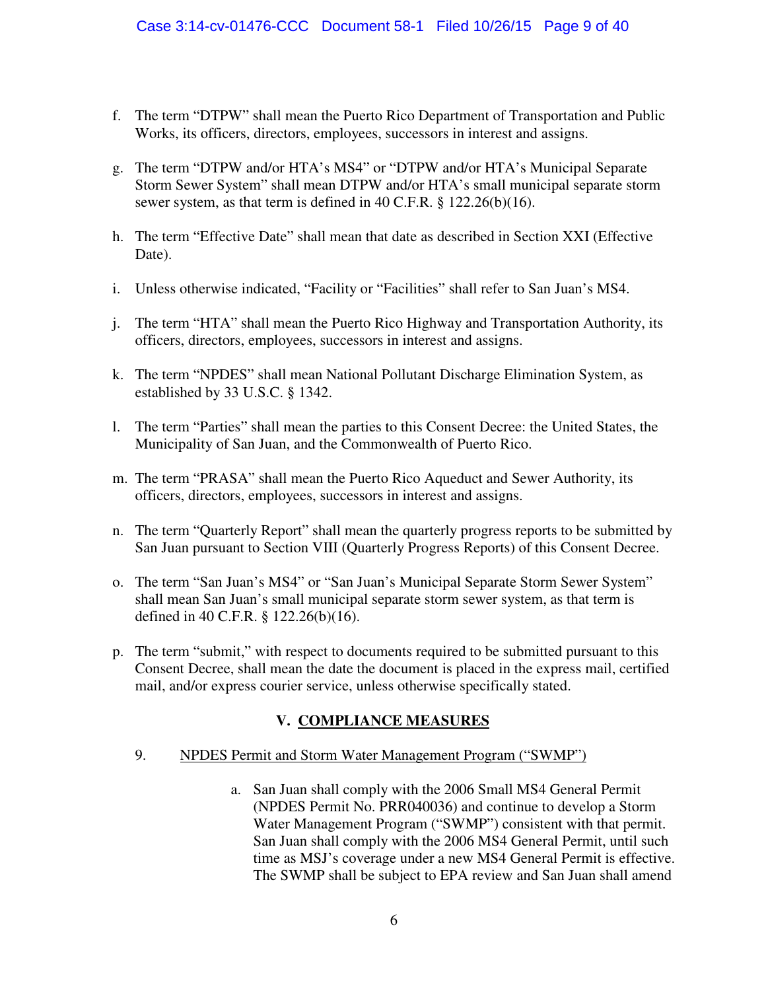- f. The term "DTPW" shall mean the Puerto Rico Department of Transportation and Public Works, its officers, directors, employees, successors in interest and assigns.
- g. The term "DTPW and/or HTA's MS4" or "DTPW and/or HTA's Municipal Separate Storm Sewer System" shall mean DTPW and/or HTA's small municipal separate storm sewer system, as that term is defined in 40 C.F.R. § 122.26(b)(16).
- h. The term "Effective Date" shall mean that date as described in Section XXI (Effective Date).
- i. Unless otherwise indicated, "Facility or "Facilities" shall refer to San Juan's MS4.
- j. The term "HTA" shall mean the Puerto Rico Highway and Transportation Authority, its officers, directors, employees, successors in interest and assigns.
- k. The term "NPDES" shall mean National Pollutant Discharge Elimination System, as established by 33 U.S.C. § 1342.
- l. The term "Parties" shall mean the parties to this Consent Decree: the United States, the Municipality of San Juan, and the Commonwealth of Puerto Rico.
- m. The term "PRASA" shall mean the Puerto Rico Aqueduct and Sewer Authority, its officers, directors, employees, successors in interest and assigns.
- n. The term "Quarterly Report" shall mean the quarterly progress reports to be submitted by San Juan pursuant to Section VIII (Quarterly Progress Reports) of this Consent Decree.
- o. The term "San Juan's MS4" or "San Juan's Municipal Separate Storm Sewer System" shall mean San Juan's small municipal separate storm sewer system, as that term is defined in 40 C.F.R. § 122.26(b)(16).
- p. The term "submit," with respect to documents required to be submitted pursuant to this Consent Decree, shall mean the date the document is placed in the express mail, certified mail, and/or express courier service, unless otherwise specifically stated.

# **V. COMPLIANCE MEASURES**

#### <span id="page-8-0"></span>9. NPDES Permit and Storm Water Management Program ("SWMP")

a. San Juan shall comply with the 2006 Small MS4 General Permit (NPDES Permit No. PRR040036) and continue to develop a Storm Water Management Program ("SWMP") consistent with that permit. San Juan shall comply with the 2006 MS4 General Permit, until such time as MSJ's coverage under a new MS4 General Permit is effective. The SWMP shall be subject to EPA review and San Juan shall amend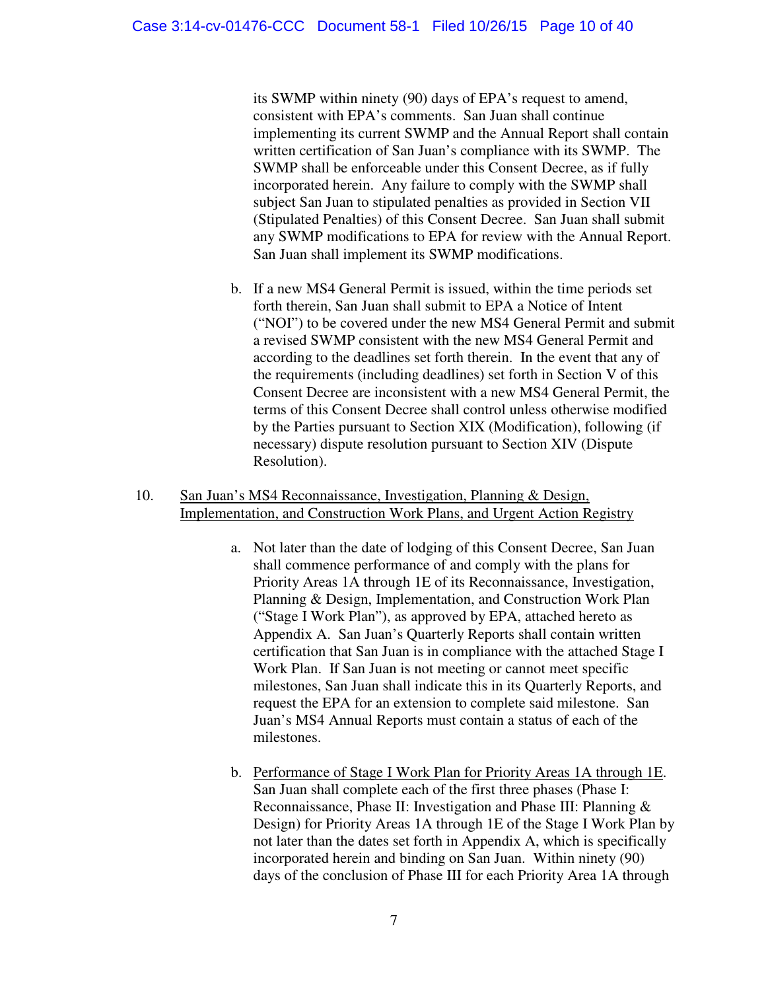its SWMP within ninety (90) days of EPA's request to amend, consistent with EPA's comments. San Juan shall continue implementing its current SWMP and the Annual Report shall contain written certification of San Juan's compliance with its SWMP. The SWMP shall be enforceable under this Consent Decree, as if fully incorporated herein. Any failure to comply with the SWMP shall subject San Juan to stipulated penalties as provided in Section VII (Stipulated Penalties) of this Consent Decree. San Juan shall submit any SWMP modifications to EPA for review with the Annual Report. San Juan shall implement its SWMP modifications.

- b. If a new MS4 General Permit is issued, within the time periods set forth therein, San Juan shall submit to EPA a Notice of Intent ("NOI") to be covered under the new MS4 General Permit and submit a revised SWMP consistent with the new MS4 General Permit and according to the deadlines set forth therein. In the event that any of the requirements (including deadlines) set forth in Section V of this Consent Decree are inconsistent with a new MS4 General Permit, the terms of this Consent Decree shall control unless otherwise modified by the Parties pursuant to Section XIX (Modification), following (if necessary) dispute resolution pursuant to Section XIV (Dispute Resolution).
- 10. San Juan's MS4 Reconnaissance, Investigation, Planning & Design, Implementation, and Construction Work Plans, and Urgent Action Registry
	- a. Not later than the date of lodging of this Consent Decree, San Juan shall commence performance of and comply with the plans for Priority Areas 1A through 1E of its Reconnaissance, Investigation, Planning & Design, Implementation, and Construction Work Plan ("Stage I Work Plan"), as approved by EPA, attached hereto as Appendix A. San Juan's Quarterly Reports shall contain written certification that San Juan is in compliance with the attached Stage I Work Plan. If San Juan is not meeting or cannot meet specific milestones, San Juan shall indicate this in its Quarterly Reports, and request the EPA for an extension to complete said milestone. San Juan's MS4 Annual Reports must contain a status of each of the milestones.
	- b. Performance of Stage I Work Plan for Priority Areas 1A through 1E. San Juan shall complete each of the first three phases (Phase I: Reconnaissance, Phase II: Investigation and Phase III: Planning & Design) for Priority Areas 1A through 1E of the Stage I Work Plan by not later than the dates set forth in Appendix A, which is specifically incorporated herein and binding on San Juan. Within ninety (90) days of the conclusion of Phase III for each Priority Area 1A through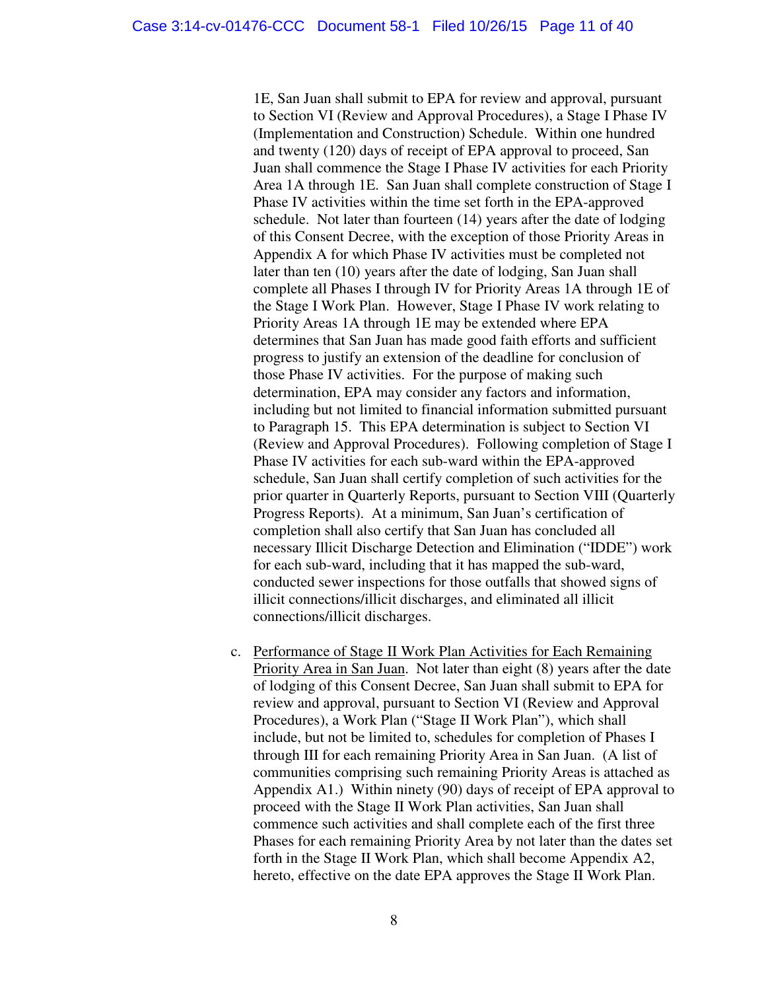1E, San Juan shall submit to EPA for review and approval, pursuant to Section VI (Review and Approval Procedures), a Stage I Phase IV (Implementation and Construction) Schedule. Within one hundred and twenty (120) days of receipt of EPA approval to proceed, San Juan shall commence the Stage I Phase IV activities for each Priority Area 1A through 1E. San Juan shall complete construction of Stage I Phase IV activities within the time set forth in the EPA-approved schedule. Not later than fourteen (14) years after the date of lodging of this Consent Decree, with the exception of those Priority Areas in Appendix A for which Phase IV activities must be completed not later than ten (10) years after the date of lodging, San Juan shall complete all Phases I through IV for Priority Areas 1A through 1E of the Stage I Work Plan. However, Stage I Phase IV work relating to Priority Areas 1A through 1E may be extended where EPA determines that San Juan has made good faith efforts and sufficient progress to justify an extension of the deadline for conclusion of those Phase IV activities. For the purpose of making such determination, EPA may consider any factors and information, including but not limited to financial information submitted pursuant to Paragraph 15. This EPA determination is subject to Section VI (Review and Approval Procedures). Following completion of Stage I Phase IV activities for each sub-ward within the EPA-approved schedule, San Juan shall certify completion of such activities for the prior quarter in Quarterly Reports, pursuant to Section VIII (Quarterly Progress Reports). At a minimum, San Juan's certification of completion shall also certify that San Juan has concluded all necessary Illicit Discharge Detection and Elimination ("IDDE") work for each sub-ward, including that it has mapped the sub-ward, conducted sewer inspections for those outfalls that showed signs of illicit connections/illicit discharges, and eliminated all illicit connections/illicit discharges.

c. Performance of Stage II Work Plan Activities for Each Remaining Priority Area in San Juan. Not later than eight (8) years after the date of lodging of this Consent Decree, San Juan shall submit to EPA for review and approval, pursuant to Section VI (Review and Approval Procedures), a Work Plan ("Stage II Work Plan"), which shall include, but not be limited to, schedules for completion of Phases I through III for each remaining Priority Area in San Juan. (A list of communities comprising such remaining Priority Areas is attached as Appendix A1.) Within ninety (90) days of receipt of EPA approval to proceed with the Stage II Work Plan activities, San Juan shall commence such activities and shall complete each of the first three Phases for each remaining Priority Area by not later than the dates set forth in the Stage II Work Plan, which shall become Appendix A2, hereto, effective on the date EPA approves the Stage II Work Plan.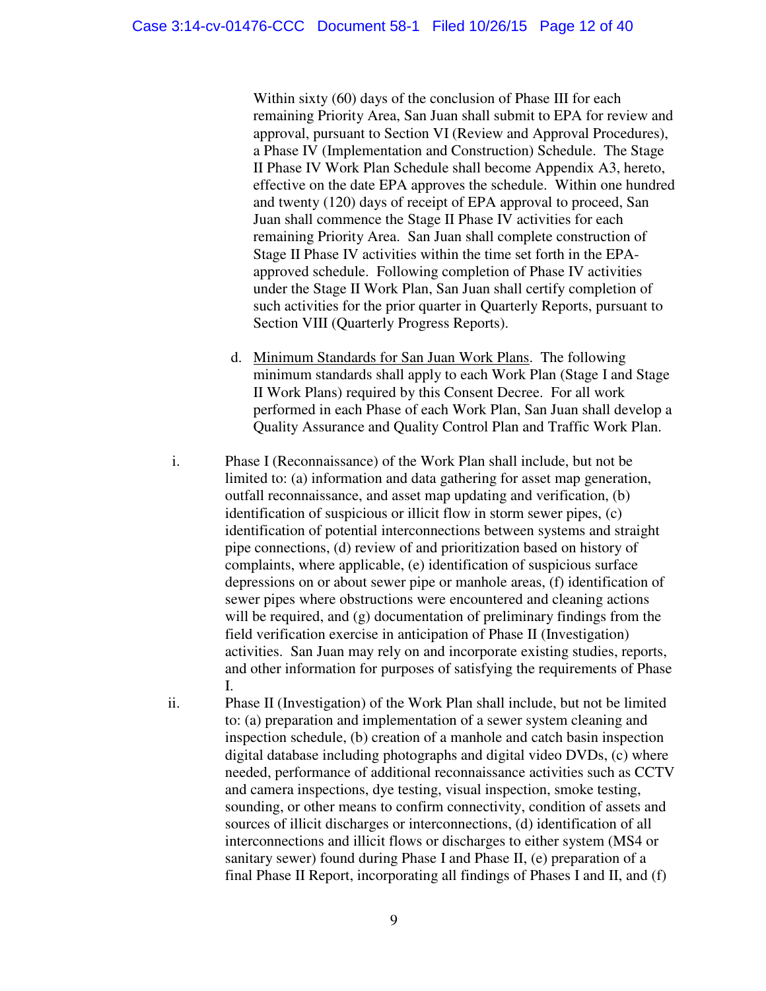Within sixty (60) days of the conclusion of Phase III for each remaining Priority Area, San Juan shall submit to EPA for review and approval, pursuant to Section VI (Review and Approval Procedures), a Phase IV (Implementation and Construction) Schedule. The Stage II Phase IV Work Plan Schedule shall become Appendix A3, hereto, effective on the date EPA approves the schedule. Within one hundred and twenty (120) days of receipt of EPA approval to proceed, San Juan shall commence the Stage II Phase IV activities for each remaining Priority Area. San Juan shall complete construction of Stage II Phase IV activities within the time set forth in the EPAapproved schedule. Following completion of Phase IV activities under the Stage II Work Plan, San Juan shall certify completion of such activities for the prior quarter in Quarterly Reports, pursuant to Section VIII (Quarterly Progress Reports).

- d. Minimum Standards for San Juan Work Plans. The following minimum standards shall apply to each Work Plan (Stage I and Stage II Work Plans) required by this Consent Decree. For all work performed in each Phase of each Work Plan, San Juan shall develop a Quality Assurance and Quality Control Plan and Traffic Work Plan.
- i. Phase I (Reconnaissance) of the Work Plan shall include, but not be limited to: (a) information and data gathering for asset map generation, outfall reconnaissance, and asset map updating and verification, (b) identification of suspicious or illicit flow in storm sewer pipes, (c) identification of potential interconnections between systems and straight pipe connections, (d) review of and prioritization based on history of complaints, where applicable, (e) identification of suspicious surface depressions on or about sewer pipe or manhole areas, (f) identification of sewer pipes where obstructions were encountered and cleaning actions will be required, and (g) documentation of preliminary findings from the field verification exercise in anticipation of Phase II (Investigation) activities. San Juan may rely on and incorporate existing studies, reports, and other information for purposes of satisfying the requirements of Phase I.
- ii. Phase II (Investigation) of the Work Plan shall include, but not be limited to: (a) preparation and implementation of a sewer system cleaning and inspection schedule, (b) creation of a manhole and catch basin inspection digital database including photographs and digital video DVDs, (c) where needed, performance of additional reconnaissance activities such as CCTV and camera inspections, dye testing, visual inspection, smoke testing, sounding, or other means to confirm connectivity, condition of assets and sources of illicit discharges or interconnections, (d) identification of all interconnections and illicit flows or discharges to either system (MS4 or sanitary sewer) found during Phase I and Phase II, (e) preparation of a final Phase II Report, incorporating all findings of Phases I and II, and (f)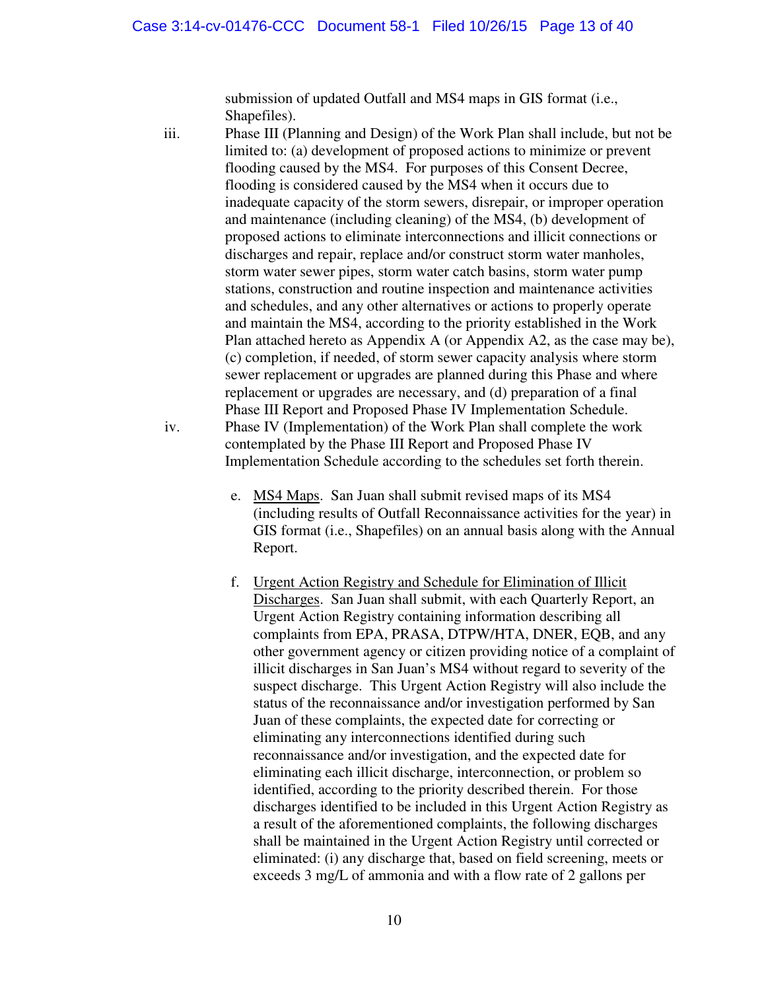submission of updated Outfall and MS4 maps in GIS format (i.e., Shapefiles).

iii. Phase III (Planning and Design) of the Work Plan shall include, but not be limited to: (a) development of proposed actions to minimize or prevent flooding caused by the MS4. For purposes of this Consent Decree, flooding is considered caused by the MS4 when it occurs due to inadequate capacity of the storm sewers, disrepair, or improper operation and maintenance (including cleaning) of the MS4, (b) development of proposed actions to eliminate interconnections and illicit connections or discharges and repair, replace and/or construct storm water manholes, storm water sewer pipes, storm water catch basins, storm water pump stations, construction and routine inspection and maintenance activities and schedules, and any other alternatives or actions to properly operate and maintain the MS4, according to the priority established in the Work Plan attached hereto as Appendix A (or Appendix A2, as the case may be), (c) completion, if needed, of storm sewer capacity analysis where storm sewer replacement or upgrades are planned during this Phase and where replacement or upgrades are necessary, and (d) preparation of a final Phase III Report and Proposed Phase IV Implementation Schedule. iv. Phase IV (Implementation) of the Work Plan shall complete the work contemplated by the Phase III Report and Proposed Phase IV Implementation Schedule according to the schedules set forth therein.

- e. MS4 Maps. San Juan shall submit revised maps of its MS4 (including results of Outfall Reconnaissance activities for the year) in GIS format (i.e., Shapefiles) on an annual basis along with the Annual Report.
- f. Urgent Action Registry and Schedule for Elimination of Illicit Discharges. San Juan shall submit, with each Quarterly Report, an Urgent Action Registry containing information describing all complaints from EPA, PRASA, DTPW/HTA, DNER, EQB, and any other government agency or citizen providing notice of a complaint of illicit discharges in San Juan's MS4 without regard to severity of the suspect discharge. This Urgent Action Registry will also include the status of the reconnaissance and/or investigation performed by San Juan of these complaints, the expected date for correcting or eliminating any interconnections identified during such reconnaissance and/or investigation, and the expected date for eliminating each illicit discharge, interconnection, or problem so identified, according to the priority described therein. For those discharges identified to be included in this Urgent Action Registry as a result of the aforementioned complaints, the following discharges shall be maintained in the Urgent Action Registry until corrected or eliminated: (i) any discharge that, based on field screening, meets or exceeds 3 mg/L of ammonia and with a flow rate of 2 gallons per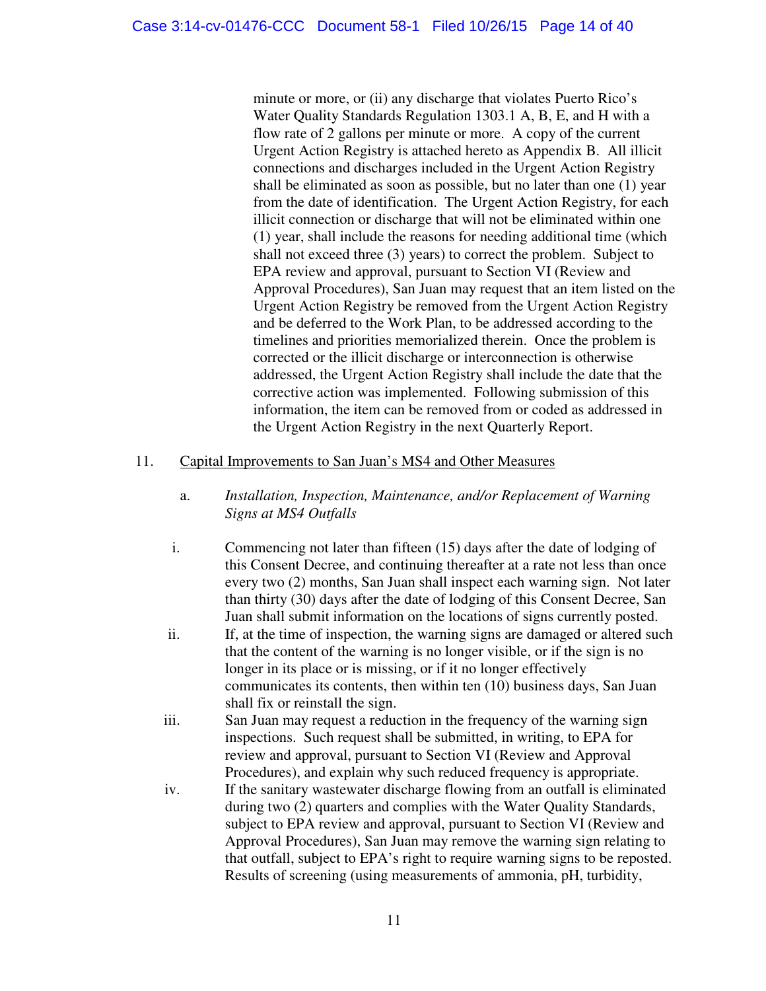minute or more, or (ii) any discharge that violates Puerto Rico's Water Quality Standards Regulation 1303.1 A, B, E, and H with a flow rate of 2 gallons per minute or more. A copy of the current Urgent Action Registry is attached hereto as Appendix B. All illicit connections and discharges included in the Urgent Action Registry shall be eliminated as soon as possible, but no later than one (1) year from the date of identification. The Urgent Action Registry, for each illicit connection or discharge that will not be eliminated within one (1) year, shall include the reasons for needing additional time (which shall not exceed three (3) years) to correct the problem. Subject to EPA review and approval, pursuant to Section VI (Review and Approval Procedures), San Juan may request that an item listed on the Urgent Action Registry be removed from the Urgent Action Registry and be deferred to the Work Plan, to be addressed according to the timelines and priorities memorialized therein. Once the problem is corrected or the illicit discharge or interconnection is otherwise addressed, the Urgent Action Registry shall include the date that the corrective action was implemented. Following submission of this information, the item can be removed from or coded as addressed in the Urgent Action Registry in the next Quarterly Report.

#### 11. Capital Improvements to San Juan's MS4 and Other Measures

- a. *Installation, Inspection, Maintenance, and/or Replacement of Warning Signs at MS4 Outfalls*
- i. Commencing not later than fifteen (15) days after the date of lodging of this Consent Decree, and continuing thereafter at a rate not less than once every two (2) months, San Juan shall inspect each warning sign. Not later than thirty (30) days after the date of lodging of this Consent Decree, San Juan shall submit information on the locations of signs currently posted.
- ii. If, at the time of inspection, the warning signs are damaged or altered such that the content of the warning is no longer visible, or if the sign is no longer in its place or is missing, or if it no longer effectively communicates its contents, then within ten (10) business days, San Juan shall fix or reinstall the sign.
- iii. San Juan may request a reduction in the frequency of the warning sign inspections. Such request shall be submitted, in writing, to EPA for review and approval, pursuant to Section VI (Review and Approval Procedures), and explain why such reduced frequency is appropriate.
- iv. If the sanitary wastewater discharge flowing from an outfall is eliminated during two (2) quarters and complies with the Water Quality Standards, subject to EPA review and approval, pursuant to Section VI (Review and Approval Procedures), San Juan may remove the warning sign relating to that outfall, subject to EPA's right to require warning signs to be reposted. Results of screening (using measurements of ammonia, pH, turbidity,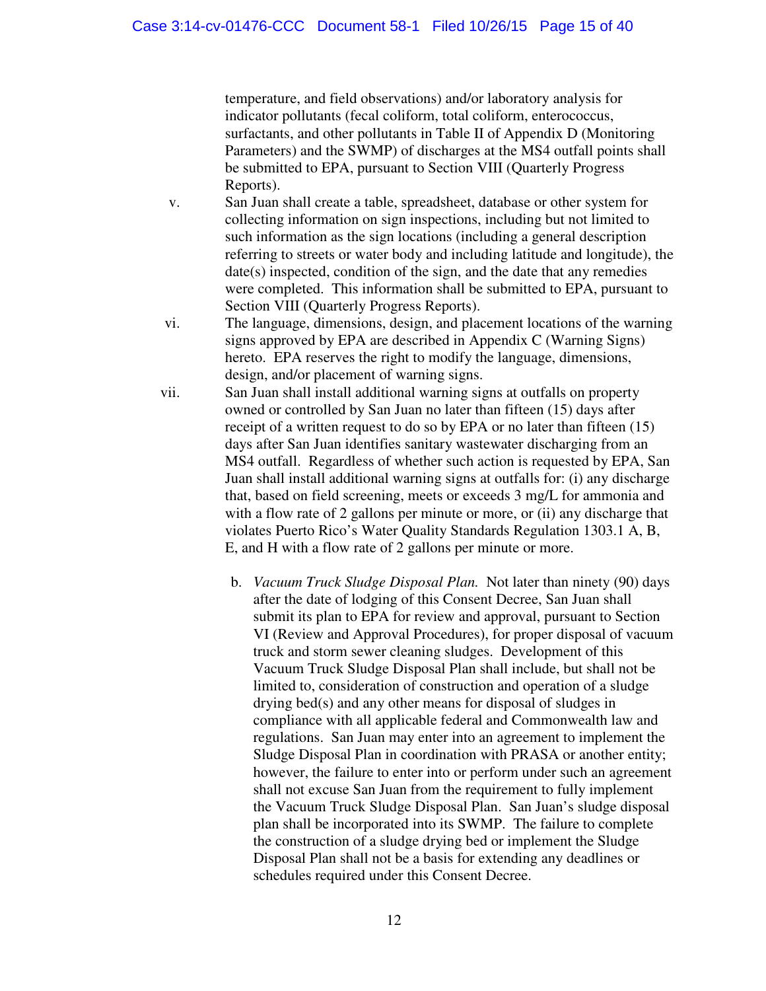temperature, and field observations) and/or laboratory analysis for indicator pollutants (fecal coliform, total coliform, enterococcus, surfactants, and other pollutants in Table II of Appendix D (Monitoring Parameters) and the SWMP) of discharges at the MS4 outfall points shall be submitted to EPA, pursuant to Section VIII (Quarterly Progress Reports).

- v. San Juan shall create a table, spreadsheet, database or other system for collecting information on sign inspections, including but not limited to such information as the sign locations (including a general description referring to streets or water body and including latitude and longitude), the date(s) inspected, condition of the sign, and the date that any remedies were completed. This information shall be submitted to EPA, pursuant to Section VIII (Quarterly Progress Reports).
- vi. The language, dimensions, design, and placement locations of the warning signs approved by EPA are described in Appendix C (Warning Signs) hereto. EPA reserves the right to modify the language, dimensions, design, and/or placement of warning signs.
- vii. San Juan shall install additional warning signs at outfalls on property owned or controlled by San Juan no later than fifteen (15) days after receipt of a written request to do so by EPA or no later than fifteen (15) days after San Juan identifies sanitary wastewater discharging from an MS4 outfall. Regardless of whether such action is requested by EPA, San Juan shall install additional warning signs at outfalls for: (i) any discharge that, based on field screening, meets or exceeds 3 mg/L for ammonia and with a flow rate of 2 gallons per minute or more, or (ii) any discharge that violates Puerto Rico's Water Quality Standards Regulation 1303.1 A, B, E, and H with a flow rate of 2 gallons per minute or more.
	- b. *Vacuum Truck Sludge Disposal Plan.* Not later than ninety (90) days after the date of lodging of this Consent Decree, San Juan shall submit its plan to EPA for review and approval, pursuant to Section VI (Review and Approval Procedures), for proper disposal of vacuum truck and storm sewer cleaning sludges. Development of this Vacuum Truck Sludge Disposal Plan shall include, but shall not be limited to, consideration of construction and operation of a sludge drying bed(s) and any other means for disposal of sludges in compliance with all applicable federal and Commonwealth law and regulations. San Juan may enter into an agreement to implement the Sludge Disposal Plan in coordination with PRASA or another entity; however, the failure to enter into or perform under such an agreement shall not excuse San Juan from the requirement to fully implement the Vacuum Truck Sludge Disposal Plan. San Juan's sludge disposal plan shall be incorporated into its SWMP. The failure to complete the construction of a sludge drying bed or implement the Sludge Disposal Plan shall not be a basis for extending any deadlines or schedules required under this Consent Decree.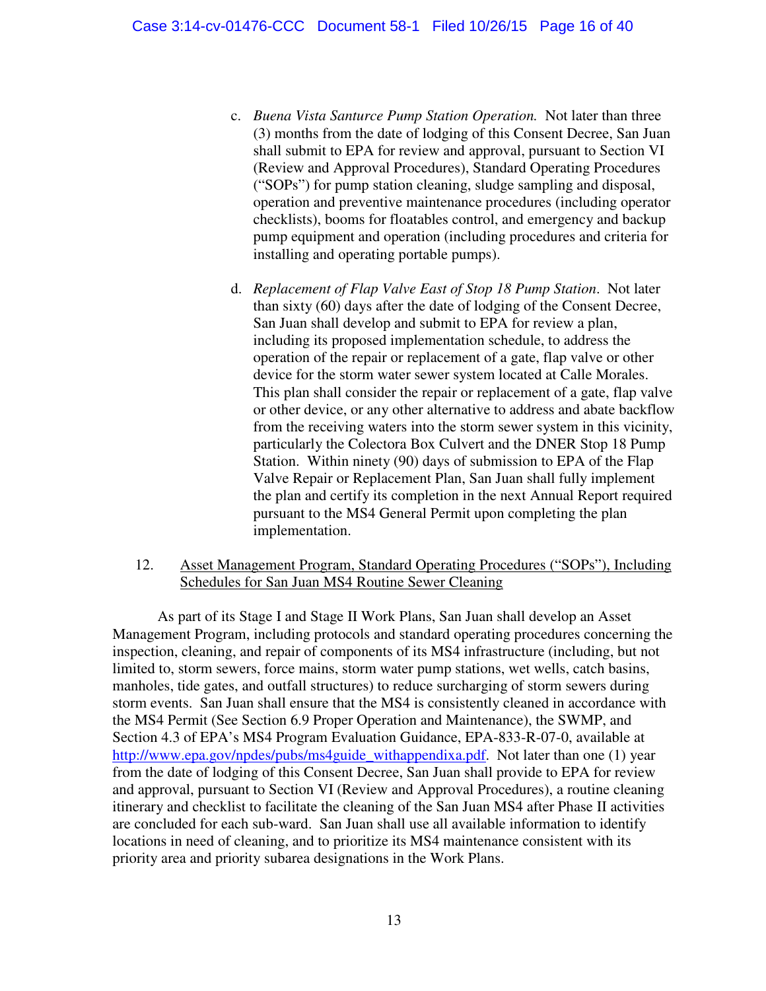- c. *Buena Vista Santurce Pump Station Operation.* Not later than three (3) months from the date of lodging of this Consent Decree, San Juan shall submit to EPA for review and approval, pursuant to Section VI (Review and Approval Procedures), Standard Operating Procedures ("SOPs") for pump station cleaning, sludge sampling and disposal, operation and preventive maintenance procedures (including operator checklists), booms for floatables control, and emergency and backup pump equipment and operation (including procedures and criteria for installing and operating portable pumps).
- d. *Replacement of Flap Valve East of Stop 18 Pump Station*.Not later than sixty (60) days after the date of lodging of the Consent Decree, San Juan shall develop and submit to EPA for review a plan, including its proposed implementation schedule, to address the operation of the repair or replacement of a gate, flap valve or other device for the storm water sewer system located at Calle Morales. This plan shall consider the repair or replacement of a gate, flap valve or other device, or any other alternative to address and abate backflow from the receiving waters into the storm sewer system in this vicinity, particularly the Colectora Box Culvert and the DNER Stop 18 Pump Station. Within ninety (90) days of submission to EPA of the Flap Valve Repair or Replacement Plan, San Juan shall fully implement the plan and certify its completion in the next Annual Report required pursuant to the MS4 General Permit upon completing the plan implementation.

### 12. Asset Management Program, Standard Operating Procedures ("SOPs"), Including Schedules for San Juan MS4 Routine Sewer Cleaning

As part of its Stage I and Stage II Work Plans, San Juan shall develop an Asset Management Program, including protocols and standard operating procedures concerning the inspection, cleaning, and repair of components of its MS4 infrastructure (including, but not limited to, storm sewers, force mains, storm water pump stations, wet wells, catch basins, manholes, tide gates, and outfall structures) to reduce surcharging of storm sewers during storm events. San Juan shall ensure that the MS4 is consistently cleaned in accordance with the MS4 Permit (See Section 6.9 Proper Operation and Maintenance), the SWMP, and Section 4.3 of EPA's MS4 Program Evaluation Guidance, EPA-833-R-07-0, available at [http://www.epa.gov/npdes/pubs/ms4guide\\_withappendixa.pdf.](http://www.epa.gov/npdes/pubs/ms4guide_withappendixa.pdf) Not later than one (1) year from the date of lodging of this Consent Decree, San Juan shall provide to EPA for review and approval, pursuant to Section VI (Review and Approval Procedures), a routine cleaning itinerary and checklist to facilitate the cleaning of the San Juan MS4 after Phase II activities are concluded for each sub-ward. San Juan shall use all available information to identify locations in need of cleaning, and to prioritize its MS4 maintenance consistent with its priority area and priority subarea designations in the Work Plans.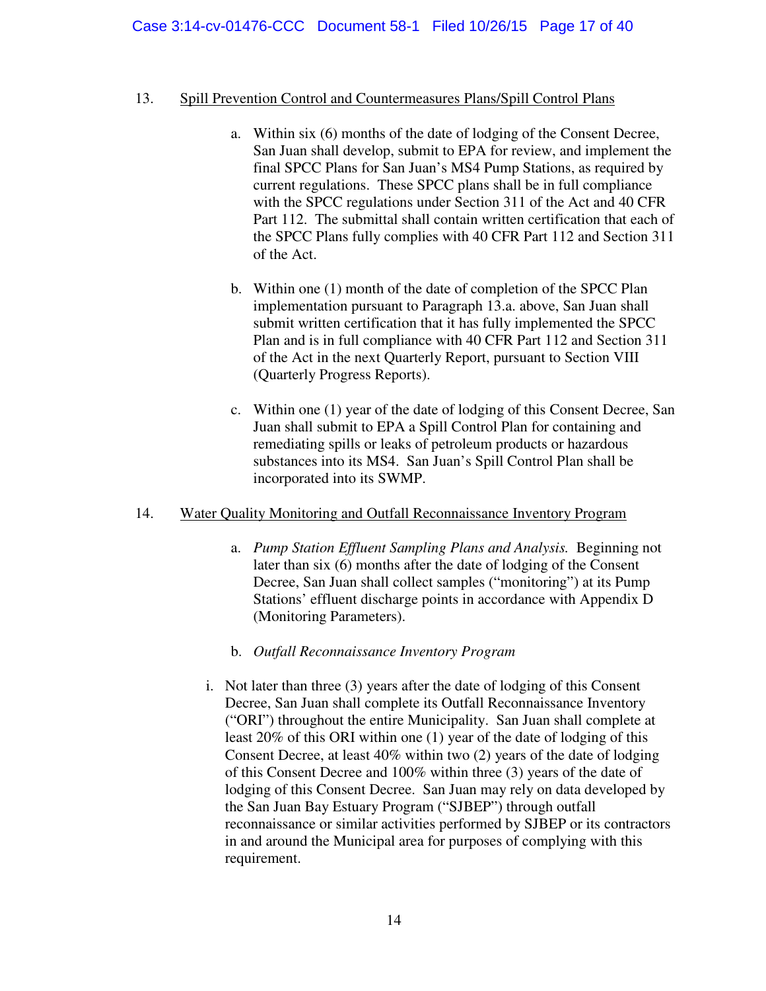## Case 3:14-cv-01476-CCC Document 58-1 Filed 10/26/15 Page 17 of 40

#### 13. Spill Prevention Control and Countermeasures Plans/Spill Control Plans

- a. Within six (6) months of the date of lodging of the Consent Decree, San Juan shall develop, submit to EPA for review, and implement the final SPCC Plans for San Juan's MS4 Pump Stations, as required by current regulations. These SPCC plans shall be in full compliance with the SPCC regulations under Section 311 of the Act and 40 CFR Part 112. The submittal shall contain written certification that each of the SPCC Plans fully complies with 40 CFR Part 112 and Section 311 of the Act.
- b. Within one (1) month of the date of completion of the SPCC Plan implementation pursuant to Paragraph 13.a. above, San Juan shall submit written certification that it has fully implemented the SPCC Plan and is in full compliance with 40 CFR Part 112 and Section 311 of the Act in the next Quarterly Report, pursuant to Section VIII (Quarterly Progress Reports).
- c. Within one (1) year of the date of lodging of this Consent Decree, San Juan shall submit to EPA a Spill Control Plan for containing and remediating spills or leaks of petroleum products or hazardous substances into its MS4. San Juan's Spill Control Plan shall be incorporated into its SWMP.

#### 14. Water Quality Monitoring and Outfall Reconnaissance Inventory Program

- a. *Pump Station Effluent Sampling Plans and Analysis.* Beginning not later than six (6) months after the date of lodging of the Consent Decree, San Juan shall collect samples ("monitoring") at its Pump Stations' effluent discharge points in accordance with Appendix D (Monitoring Parameters).
- b. *Outfall Reconnaissance Inventory Program*
- i. Not later than three (3) years after the date of lodging of this Consent Decree, San Juan shall complete its Outfall Reconnaissance Inventory ("ORI") throughout the entire Municipality. San Juan shall complete at least 20% of this ORI within one (1) year of the date of lodging of this Consent Decree, at least 40% within two (2) years of the date of lodging of this Consent Decree and 100% within three (3) years of the date of lodging of this Consent Decree. San Juan may rely on data developed by the San Juan Bay Estuary Program ("SJBEP") through outfall reconnaissance or similar activities performed by SJBEP or its contractors in and around the Municipal area for purposes of complying with this requirement.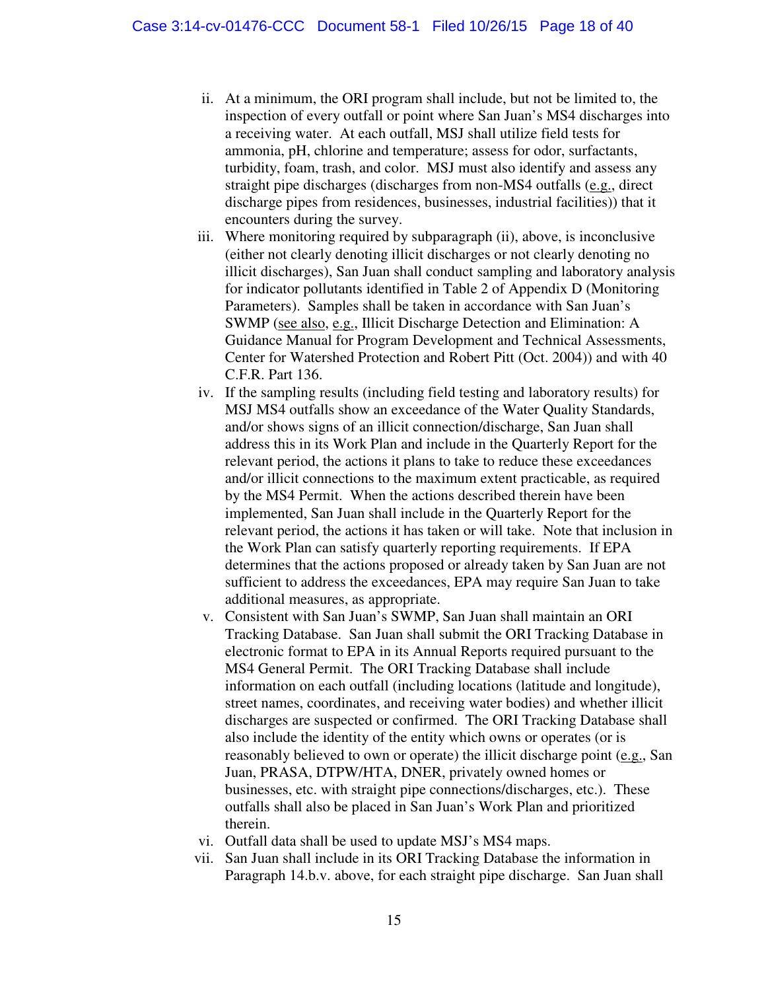- ii. At a minimum, the ORI program shall include, but not be limited to, the inspection of every outfall or point where San Juan's MS4 discharges into a receiving water. At each outfall, MSJ shall utilize field tests for ammonia, pH, chlorine and temperature; assess for odor, surfactants, turbidity, foam, trash, and color. MSJ must also identify and assess any straight pipe discharges (discharges from non-MS4 outfalls (e.g., direct discharge pipes from residences, businesses, industrial facilities)) that it encounters during the survey.
- iii. Where monitoring required by subparagraph (ii), above, is inconclusive (either not clearly denoting illicit discharges or not clearly denoting no illicit discharges), San Juan shall conduct sampling and laboratory analysis for indicator pollutants identified in Table 2 of Appendix D (Monitoring Parameters). Samples shall be taken in accordance with San Juan's SWMP (see also, e.g., Illicit Discharge Detection and Elimination: A Guidance Manual for Program Development and Technical Assessments, Center for Watershed Protection and Robert Pitt (Oct. 2004)) and with 40 C.F.R. Part 136.
- iv. If the sampling results (including field testing and laboratory results) for MSJ MS4 outfalls show an exceedance of the Water Quality Standards, and/or shows signs of an illicit connection/discharge, San Juan shall address this in its Work Plan and include in the Quarterly Report for the relevant period, the actions it plans to take to reduce these exceedances and/or illicit connections to the maximum extent practicable, as required by the MS4 Permit. When the actions described therein have been implemented, San Juan shall include in the Quarterly Report for the relevant period, the actions it has taken or will take. Note that inclusion in the Work Plan can satisfy quarterly reporting requirements. If EPA determines that the actions proposed or already taken by San Juan are not sufficient to address the exceedances, EPA may require San Juan to take additional measures, as appropriate.
- v. Consistent with San Juan's SWMP, San Juan shall maintain an ORI Tracking Database. San Juan shall submit the ORI Tracking Database in electronic format to EPA in its Annual Reports required pursuant to the MS4 General Permit. The ORI Tracking Database shall include information on each outfall (including locations (latitude and longitude), street names, coordinates, and receiving water bodies) and whether illicit discharges are suspected or confirmed. The ORI Tracking Database shall also include the identity of the entity which owns or operates (or is reasonably believed to own or operate) the illicit discharge point (e.g., San Juan, PRASA, DTPW/HTA, DNER, privately owned homes or businesses, etc. with straight pipe connections/discharges, etc.). These outfalls shall also be placed in San Juan's Work Plan and prioritized therein.
- vi. Outfall data shall be used to update MSJ's MS4 maps.
- vii. San Juan shall include in its ORI Tracking Database the information in Paragraph 14.b.v. above, for each straight pipe discharge. San Juan shall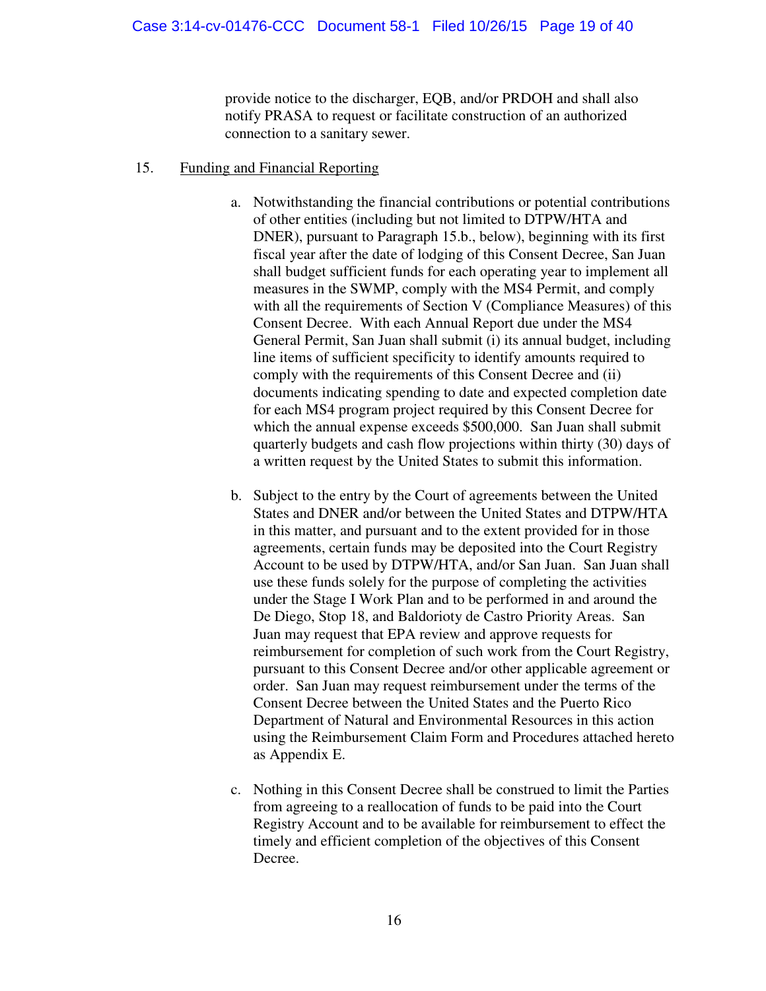provide notice to the discharger, EQB, and/or PRDOH and shall also notify PRASA to request or facilitate construction of an authorized connection to a sanitary sewer.

- 15. Funding and Financial Reporting
	- a. Notwithstanding the financial contributions or potential contributions of other entities (including but not limited to DTPW/HTA and DNER), pursuant to Paragraph 15.b., below), beginning with its first fiscal year after the date of lodging of this Consent Decree, San Juan shall budget sufficient funds for each operating year to implement all measures in the SWMP, comply with the MS4 Permit, and comply with all the requirements of Section V (Compliance Measures) of this Consent Decree. With each Annual Report due under the MS4 General Permit, San Juan shall submit (i) its annual budget, including line items of sufficient specificity to identify amounts required to comply with the requirements of this Consent Decree and (ii) documents indicating spending to date and expected completion date for each MS4 program project required by this Consent Decree for which the annual expense exceeds \$500,000. San Juan shall submit quarterly budgets and cash flow projections within thirty (30) days of a written request by the United States to submit this information.
	- b. Subject to the entry by the Court of agreements between the United States and DNER and/or between the United States and DTPW/HTA in this matter, and pursuant and to the extent provided for in those agreements, certain funds may be deposited into the Court Registry Account to be used by DTPW/HTA, and/or San Juan. San Juan shall use these funds solely for the purpose of completing the activities under the Stage I Work Plan and to be performed in and around the De Diego, Stop 18, and Baldorioty de Castro Priority Areas. San Juan may request that EPA review and approve requests for reimbursement for completion of such work from the Court Registry, pursuant to this Consent Decree and/or other applicable agreement or order. San Juan may request reimbursement under the terms of the Consent Decree between the United States and the Puerto Rico Department of Natural and Environmental Resources in this action using the Reimbursement Claim Form and Procedures attached hereto as Appendix E.
	- c. Nothing in this Consent Decree shall be construed to limit the Parties from agreeing to a reallocation of funds to be paid into the Court Registry Account and to be available for reimbursement to effect the timely and efficient completion of the objectives of this Consent Decree.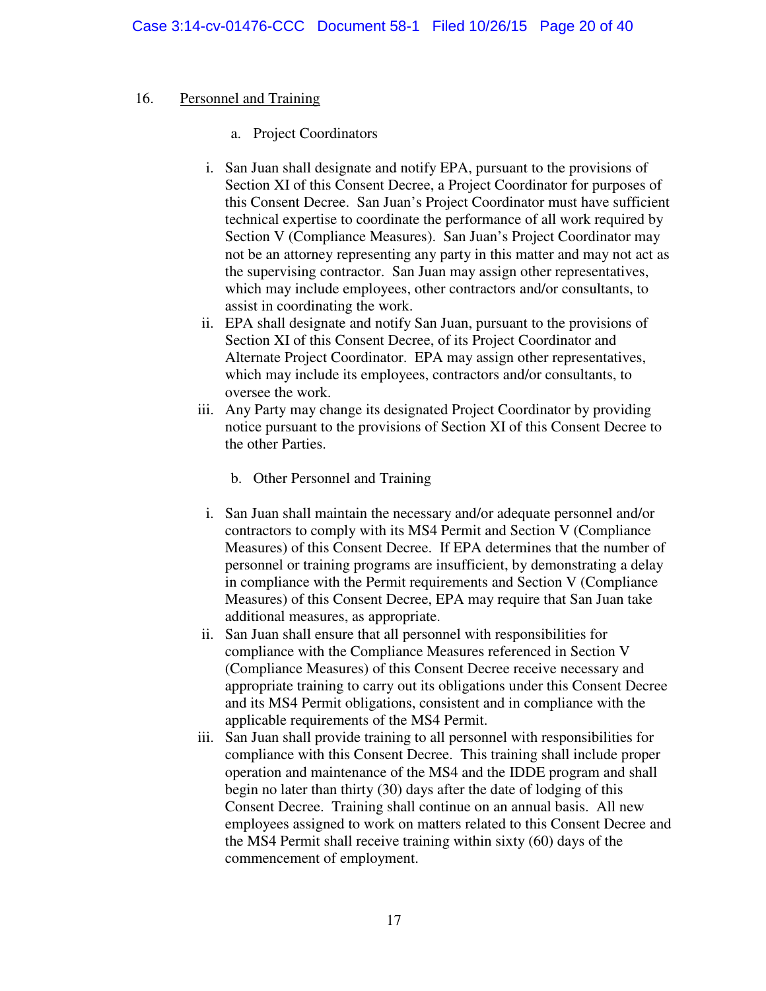#### 16. Personnel and Training

- a. Project Coordinators
- i. San Juan shall designate and notify EPA, pursuant to the provisions of Section XI of this Consent Decree, a Project Coordinator for purposes of this Consent Decree. San Juan's Project Coordinator must have sufficient technical expertise to coordinate the performance of all work required by Section V (Compliance Measures). San Juan's Project Coordinator may not be an attorney representing any party in this matter and may not act as the supervising contractor. San Juan may assign other representatives, which may include employees, other contractors and/or consultants, to assist in coordinating the work.
- ii. EPA shall designate and notify San Juan, pursuant to the provisions of Section XI of this Consent Decree, of its Project Coordinator and Alternate Project Coordinator. EPA may assign other representatives, which may include its employees, contractors and/or consultants, to oversee the work.
- iii. Any Party may change its designated Project Coordinator by providing notice pursuant to the provisions of Section XI of this Consent Decree to the other Parties.
	- b. Other Personnel and Training
- i. San Juan shall maintain the necessary and/or adequate personnel and/or contractors to comply with its MS4 Permit and Section V (Compliance Measures) of this Consent Decree. If EPA determines that the number of personnel or training programs are insufficient, by demonstrating a delay in compliance with the Permit requirements and Section V (Compliance Measures) of this Consent Decree, EPA may require that San Juan take additional measures, as appropriate.
- ii. San Juan shall ensure that all personnel with responsibilities for compliance with the Compliance Measures referenced in Section V (Compliance Measures) of this Consent Decree receive necessary and appropriate training to carry out its obligations under this Consent Decree and its MS4 Permit obligations, consistent and in compliance with the applicable requirements of the MS4 Permit.
- iii. San Juan shall provide training to all personnel with responsibilities for compliance with this Consent Decree. This training shall include proper operation and maintenance of the MS4 and the IDDE program and shall begin no later than thirty (30) days after the date of lodging of this Consent Decree. Training shall continue on an annual basis. All new employees assigned to work on matters related to this Consent Decree and the MS4 Permit shall receive training within sixty (60) days of the commencement of employment.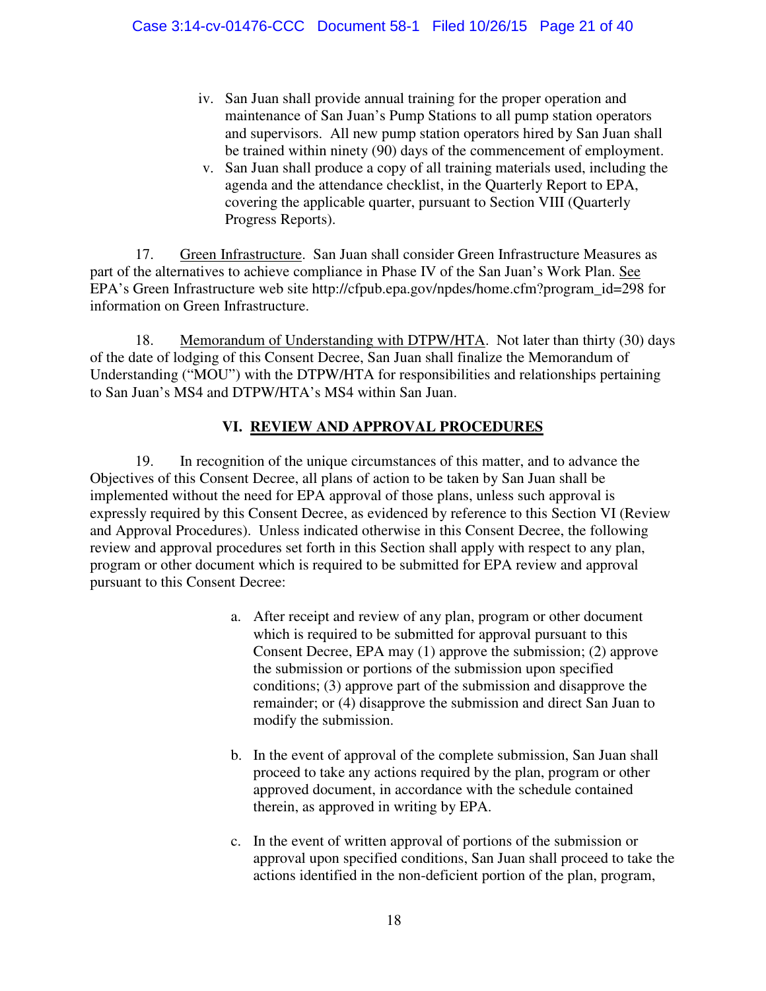- iv. San Juan shall provide annual training for the proper operation and maintenance of San Juan's Pump Stations to all pump station operators and supervisors. All new pump station operators hired by San Juan shall be trained within ninety (90) days of the commencement of employment.
- v. San Juan shall produce a copy of all training materials used, including the agenda and the attendance checklist, in the Quarterly Report to EPA, covering the applicable quarter, pursuant to Section VIII (Quarterly Progress Reports).

17. Green Infrastructure. San Juan shall consider Green Infrastructure Measures as part of the alternatives to achieve compliance in Phase IV of the San Juan's Work Plan. See EPA's Green Infrastructure web site http://cfpub.epa.gov/npdes/home.cfm?program\_id=298 for information on Green Infrastructure.

18. Memorandum of Understanding with DTPW/HTA. Not later than thirty (30) days of the date of lodging of this Consent Decree, San Juan shall finalize the Memorandum of Understanding ("MOU") with the DTPW/HTA for responsibilities and relationships pertaining to San Juan's MS4 and DTPW/HTA's MS4 within San Juan.

# **VI. REVIEW AND APPROVAL PROCEDURES**

<span id="page-20-0"></span>19. In recognition of the unique circumstances of this matter, and to advance the Objectives of this Consent Decree, all plans of action to be taken by San Juan shall be implemented without the need for EPA approval of those plans, unless such approval is expressly required by this Consent Decree, as evidenced by reference to this Section VI (Review and Approval Procedures). Unless indicated otherwise in this Consent Decree, the following review and approval procedures set forth in this Section shall apply with respect to any plan, program or other document which is required to be submitted for EPA review and approval pursuant to this Consent Decree:

- a. After receipt and review of any plan, program or other document which is required to be submitted for approval pursuant to this Consent Decree, EPA may (1) approve the submission; (2) approve the submission or portions of the submission upon specified conditions; (3) approve part of the submission and disapprove the remainder; or (4) disapprove the submission and direct San Juan to modify the submission.
- b. In the event of approval of the complete submission, San Juan shall proceed to take any actions required by the plan, program or other approved document, in accordance with the schedule contained therein, as approved in writing by EPA.
- c. In the event of written approval of portions of the submission or approval upon specified conditions, San Juan shall proceed to take the actions identified in the non-deficient portion of the plan, program,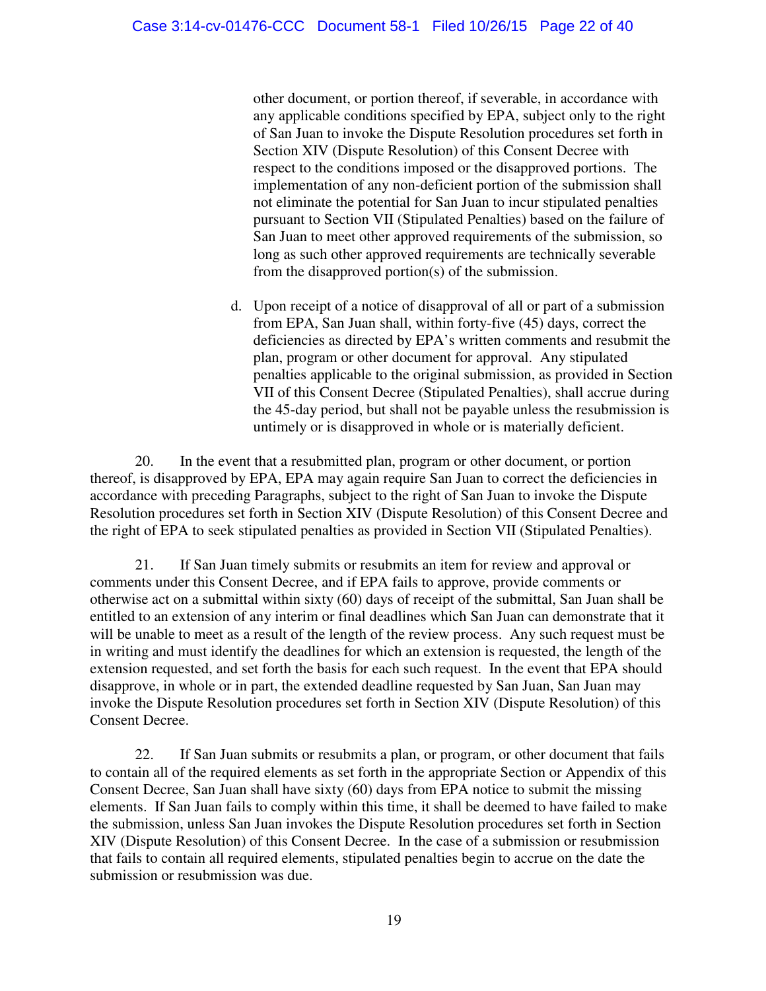other document, or portion thereof, if severable, in accordance with any applicable conditions specified by EPA, subject only to the right of San Juan to invoke the Dispute Resolution procedures set forth in Section XIV (Dispute Resolution) of this Consent Decree with respect to the conditions imposed or the disapproved portions. The implementation of any non-deficient portion of the submission shall not eliminate the potential for San Juan to incur stipulated penalties pursuant to Section VII (Stipulated Penalties) based on the failure of San Juan to meet other approved requirements of the submission, so long as such other approved requirements are technically severable from the disapproved portion(s) of the submission.

d. Upon receipt of a notice of disapproval of all or part of a submission from EPA, San Juan shall, within forty-five (45) days, correct the deficiencies as directed by EPA's written comments and resubmit the plan, program or other document for approval. Any stipulated penalties applicable to the original submission, as provided in Section VII of this Consent Decree (Stipulated Penalties), shall accrue during the 45-day period, but shall not be payable unless the resubmission is untimely or is disapproved in whole or is materially deficient.

20. In the event that a resubmitted plan, program or other document, or portion thereof, is disapproved by EPA, EPA may again require San Juan to correct the deficiencies in accordance with preceding Paragraphs, subject to the right of San Juan to invoke the Dispute Resolution procedures set forth in Section XIV (Dispute Resolution) of this Consent Decree and the right of EPA to seek stipulated penalties as provided in Section VII (Stipulated Penalties).

21. If San Juan timely submits or resubmits an item for review and approval or comments under this Consent Decree, and if EPA fails to approve, provide comments or otherwise act on a submittal within sixty (60) days of receipt of the submittal, San Juan shall be entitled to an extension of any interim or final deadlines which San Juan can demonstrate that it will be unable to meet as a result of the length of the review process. Any such request must be in writing and must identify the deadlines for which an extension is requested, the length of the extension requested, and set forth the basis for each such request. In the event that EPA should disapprove, in whole or in part, the extended deadline requested by San Juan, San Juan may invoke the Dispute Resolution procedures set forth in Section XIV (Dispute Resolution) of this Consent Decree.

22. If San Juan submits or resubmits a plan, or program, or other document that fails to contain all of the required elements as set forth in the appropriate Section or Appendix of this Consent Decree, San Juan shall have sixty (60) days from EPA notice to submit the missing elements. If San Juan fails to comply within this time, it shall be deemed to have failed to make the submission, unless San Juan invokes the Dispute Resolution procedures set forth in Section XIV (Dispute Resolution) of this Consent Decree. In the case of a submission or resubmission that fails to contain all required elements, stipulated penalties begin to accrue on the date the submission or resubmission was due.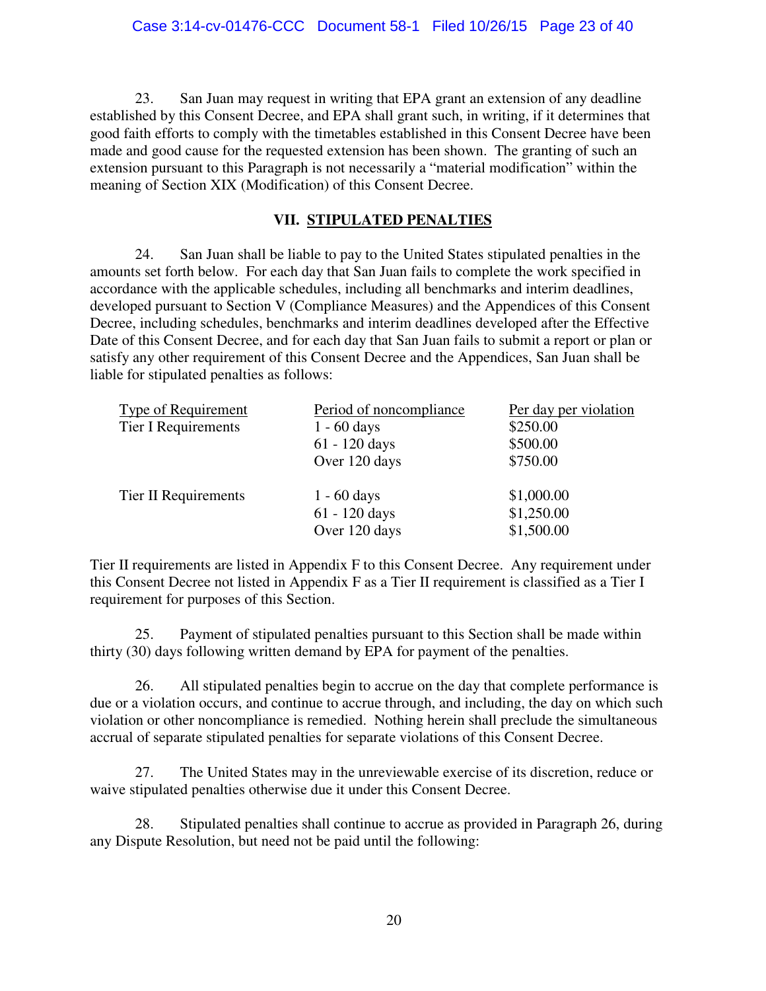23. San Juan may request in writing that EPA grant an extension of any deadline established by this Consent Decree, and EPA shall grant such, in writing, if it determines that good faith efforts to comply with the timetables established in this Consent Decree have been made and good cause for the requested extension has been shown. The granting of such an extension pursuant to this Paragraph is not necessarily a "material modification" within the meaning of Section XIX (Modification) of this Consent Decree.

## **VII. STIPULATED PENALTIES**

<span id="page-22-0"></span>24. San Juan shall be liable to pay to the United States stipulated penalties in the amounts set forth below. For each day that San Juan fails to complete the work specified in accordance with the applicable schedules, including all benchmarks and interim deadlines, developed pursuant to Section V (Compliance Measures) and the Appendices of this Consent Decree, including schedules, benchmarks and interim deadlines developed after the Effective Date of this Consent Decree, and for each day that San Juan fails to submit a report or plan or satisfy any other requirement of this Consent Decree and the Appendices, San Juan shall be liable for stipulated penalties as follows:

| Period of noncompliance | Per day per violation |
|-------------------------|-----------------------|
| $1 - 60 \text{ days}$   | \$250.00              |
| $61 - 120$ days         | \$500.00              |
| Over 120 days           | \$750.00              |
| $1 - 60 \text{ days}$   | \$1,000.00            |
| $61 - 120$ days         | \$1,250.00            |
| Over 120 days           | \$1,500.00            |
|                         |                       |

Tier II requirements are listed in Appendix F to this Consent Decree. Any requirement under this Consent Decree not listed in Appendix F as a Tier II requirement is classified as a Tier I requirement for purposes of this Section.

25. Payment of stipulated penalties pursuant to this Section shall be made within thirty (30) days following written demand by EPA for payment of the penalties.

26. All stipulated penalties begin to accrue on the day that complete performance is due or a violation occurs, and continue to accrue through, and including, the day on which such violation or other noncompliance is remedied. Nothing herein shall preclude the simultaneous accrual of separate stipulated penalties for separate violations of this Consent Decree.

27. The United States may in the unreviewable exercise of its discretion, reduce or waive stipulated penalties otherwise due it under this Consent Decree.

28. Stipulated penalties shall continue to accrue as provided in Paragraph 26, during any Dispute Resolution, but need not be paid until the following: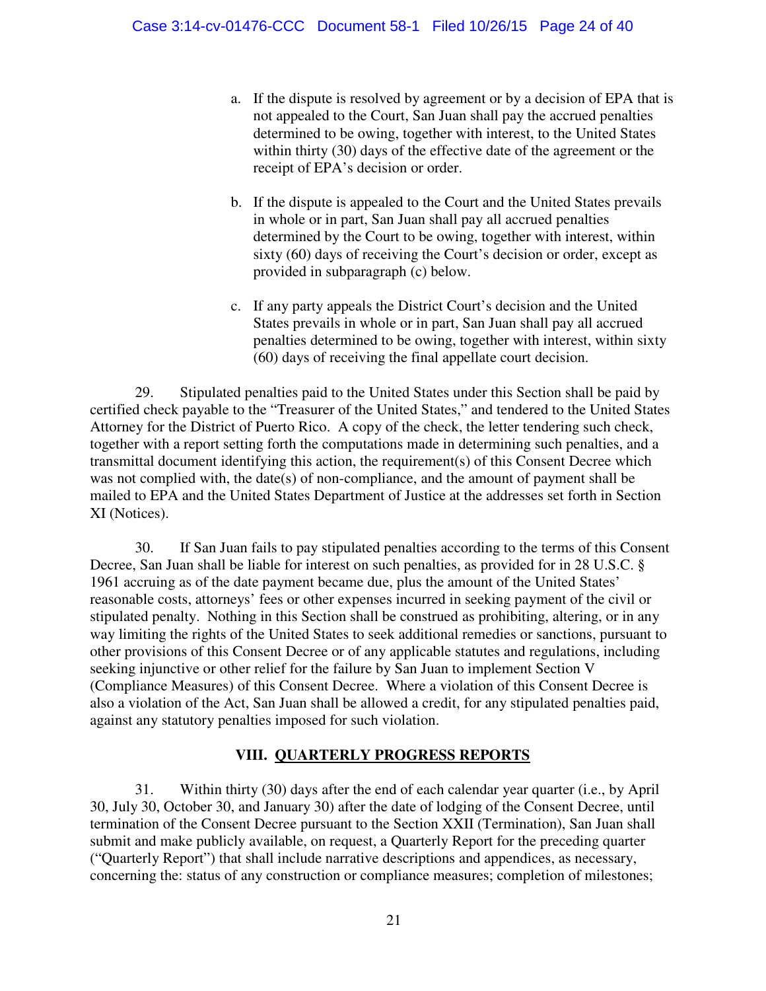- a. If the dispute is resolved by agreement or by a decision of EPA that is not appealed to the Court, San Juan shall pay the accrued penalties determined to be owing, together with interest, to the United States within thirty (30) days of the effective date of the agreement or the receipt of EPA's decision or order.
- b. If the dispute is appealed to the Court and the United States prevails in whole or in part, San Juan shall pay all accrued penalties determined by the Court to be owing, together with interest, within sixty (60) days of receiving the Court's decision or order, except as provided in subparagraph (c) below.
- c. If any party appeals the District Court's decision and the United States prevails in whole or in part, San Juan shall pay all accrued penalties determined to be owing, together with interest, within sixty (60) days of receiving the final appellate court decision.

29. Stipulated penalties paid to the United States under this Section shall be paid by certified check payable to the "Treasurer of the United States," and tendered to the United States Attorney for the District of Puerto Rico. A copy of the check, the letter tendering such check, together with a report setting forth the computations made in determining such penalties, and a transmittal document identifying this action, the requirement(s) of this Consent Decree which was not complied with, the date(s) of non-compliance, and the amount of payment shall be mailed to EPA and the United States Department of Justice at the addresses set forth in Section XI (Notices).

30. If San Juan fails to pay stipulated penalties according to the terms of this Consent Decree, San Juan shall be liable for interest on such penalties, as provided for in 28 U.S.C. § 1961 accruing as of the date payment became due, plus the amount of the United States' reasonable costs, attorneys' fees or other expenses incurred in seeking payment of the civil or stipulated penalty. Nothing in this Section shall be construed as prohibiting, altering, or in any way limiting the rights of the United States to seek additional remedies or sanctions, pursuant to other provisions of this Consent Decree or of any applicable statutes and regulations, including seeking injunctive or other relief for the failure by San Juan to implement Section V (Compliance Measures) of this Consent Decree. Where a violation of this Consent Decree is also a violation of the Act, San Juan shall be allowed a credit, for any stipulated penalties paid, against any statutory penalties imposed for such violation.

# **VIII. QUARTERLY PROGRESS REPORTS**

<span id="page-23-0"></span>31. Within thirty (30) days after the end of each calendar year quarter (i.e., by April 30, July 30, October 30, and January 30) after the date of lodging of the Consent Decree, until termination of the Consent Decree pursuant to the Section XXII (Termination), San Juan shall submit and make publicly available, on request, a Quarterly Report for the preceding quarter ("Quarterly Report") that shall include narrative descriptions and appendices, as necessary, concerning the: status of any construction or compliance measures; completion of milestones;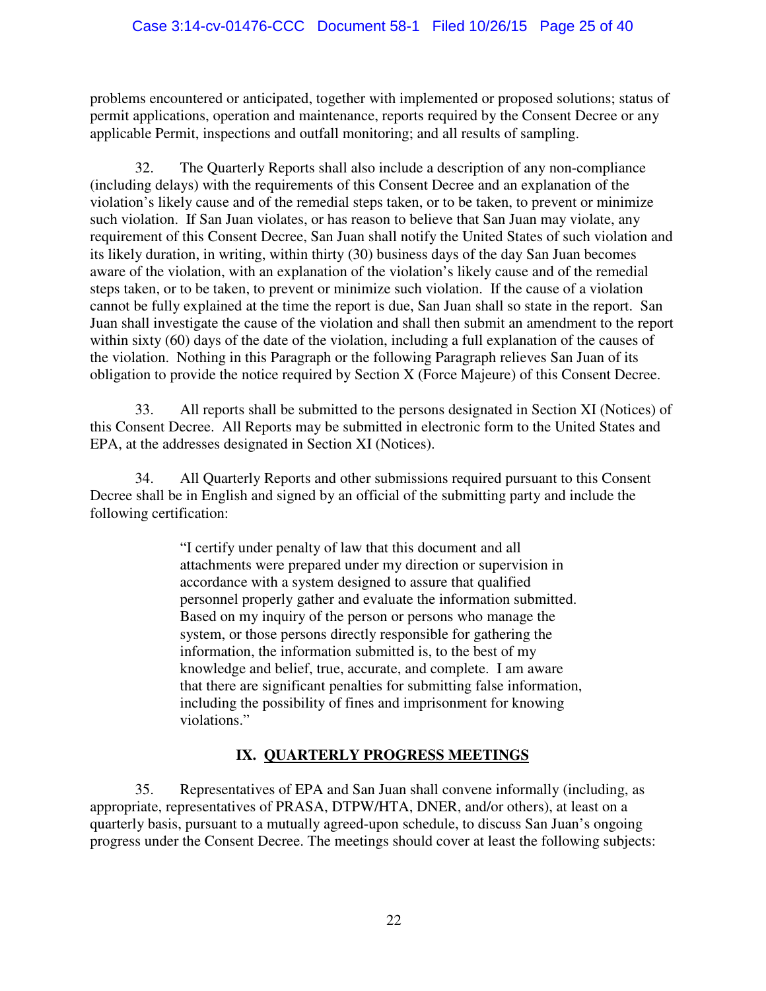### Case 3:14-cv-01476-CCC Document 58-1 Filed 10/26/15 Page 25 of 40

problems encountered or anticipated, together with implemented or proposed solutions; status of permit applications, operation and maintenance, reports required by the Consent Decree or any applicable Permit, inspections and outfall monitoring; and all results of sampling.

32. The Quarterly Reports shall also include a description of any non-compliance (including delays) with the requirements of this Consent Decree and an explanation of the violation's likely cause and of the remedial steps taken, or to be taken, to prevent or minimize such violation. If San Juan violates, or has reason to believe that San Juan may violate, any requirement of this Consent Decree, San Juan shall notify the United States of such violation and its likely duration, in writing, within thirty (30) business days of the day San Juan becomes aware of the violation, with an explanation of the violation's likely cause and of the remedial steps taken, or to be taken, to prevent or minimize such violation. If the cause of a violation cannot be fully explained at the time the report is due, San Juan shall so state in the report. San Juan shall investigate the cause of the violation and shall then submit an amendment to the report within sixty (60) days of the date of the violation, including a full explanation of the causes of the violation. Nothing in this Paragraph or the following Paragraph relieves San Juan of its obligation to provide the notice required by Section X (Force Majeure) of this Consent Decree.

33. All reports shall be submitted to the persons designated in Section XI (Notices) of this Consent Decree. All Reports may be submitted in electronic form to the United States and EPA, at the addresses designated in Section XI (Notices).

34. All Quarterly Reports and other submissions required pursuant to this Consent Decree shall be in English and signed by an official of the submitting party and include the following certification:

> "I certify under penalty of law that this document and all attachments were prepared under my direction or supervision in accordance with a system designed to assure that qualified personnel properly gather and evaluate the information submitted. Based on my inquiry of the person or persons who manage the system, or those persons directly responsible for gathering the information, the information submitted is, to the best of my knowledge and belief, true, accurate, and complete. I am aware that there are significant penalties for submitting false information, including the possibility of fines and imprisonment for knowing violations."

## **IX. QUARTERLY PROGRESS MEETINGS**

<span id="page-24-0"></span>35. Representatives of EPA and San Juan shall convene informally (including, as appropriate, representatives of PRASA, DTPW/HTA, DNER, and/or others), at least on a quarterly basis, pursuant to a mutually agreed-upon schedule, to discuss San Juan's ongoing progress under the Consent Decree. The meetings should cover at least the following subjects: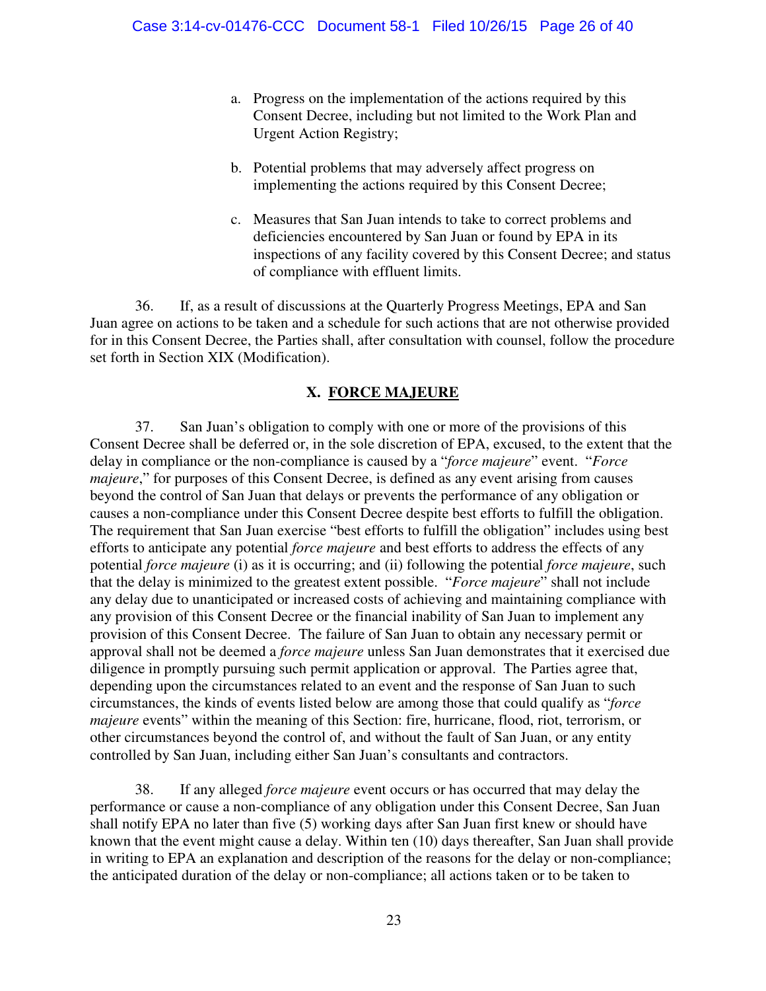- a. Progress on the implementation of the actions required by this Consent Decree, including but not limited to the Work Plan and Urgent Action Registry;
- b. Potential problems that may adversely affect progress on implementing the actions required by this Consent Decree;
- c. Measures that San Juan intends to take to correct problems and deficiencies encountered by San Juan or found by EPA in its inspections of any facility covered by this Consent Decree; and status of compliance with effluent limits.

36. If, as a result of discussions at the Quarterly Progress Meetings, EPA and San Juan agree on actions to be taken and a schedule for such actions that are not otherwise provided for in this Consent Decree, the Parties shall, after consultation with counsel, follow the procedure set forth in Section XIX (Modification).

### **X. FORCE MAJEURE**

<span id="page-25-0"></span>37. San Juan's obligation to comply with one or more of the provisions of this Consent Decree shall be deferred or, in the sole discretion of EPA, excused, to the extent that the delay in compliance or the non-compliance is caused by a "*force majeure*" event. "*Force majeure*," for purposes of this Consent Decree, is defined as any event arising from causes beyond the control of San Juan that delays or prevents the performance of any obligation or causes a non-compliance under this Consent Decree despite best efforts to fulfill the obligation. The requirement that San Juan exercise "best efforts to fulfill the obligation" includes using best efforts to anticipate any potential *force majeure* and best efforts to address the effects of any potential *force majeure* (i) as it is occurring; and (ii) following the potential *force majeure*, such that the delay is minimized to the greatest extent possible. "*Force majeure*" shall not include any delay due to unanticipated or increased costs of achieving and maintaining compliance with any provision of this Consent Decree or the financial inability of San Juan to implement any provision of this Consent Decree. The failure of San Juan to obtain any necessary permit or approval shall not be deemed a *force majeure* unless San Juan demonstrates that it exercised due diligence in promptly pursuing such permit application or approval. The Parties agree that, depending upon the circumstances related to an event and the response of San Juan to such circumstances, the kinds of events listed below are among those that could qualify as "*force majeure* events" within the meaning of this Section: fire, hurricane, flood, riot, terrorism, or other circumstances beyond the control of, and without the fault of San Juan, or any entity controlled by San Juan, including either San Juan's consultants and contractors.

38. If any alleged *force majeure* event occurs or has occurred that may delay the performance or cause a non-compliance of any obligation under this Consent Decree, San Juan shall notify EPA no later than five (5) working days after San Juan first knew or should have known that the event might cause a delay. Within ten (10) days thereafter, San Juan shall provide in writing to EPA an explanation and description of the reasons for the delay or non-compliance; the anticipated duration of the delay or non-compliance; all actions taken or to be taken to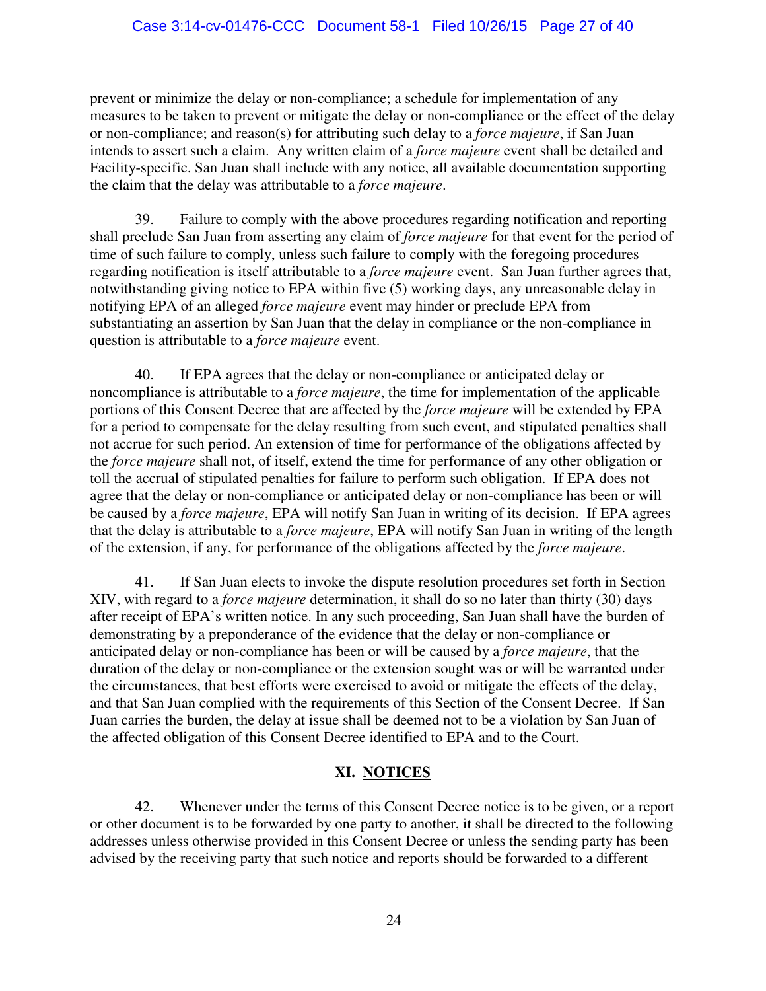prevent or minimize the delay or non-compliance; a schedule for implementation of any measures to be taken to prevent or mitigate the delay or non-compliance or the effect of the delay or non-compliance; and reason(s) for attributing such delay to a *force majeure*, if San Juan intends to assert such a claim. Any written claim of a *force majeure* event shall be detailed and Facility-specific. San Juan shall include with any notice, all available documentation supporting the claim that the delay was attributable to a *force majeure*.

39. Failure to comply with the above procedures regarding notification and reporting shall preclude San Juan from asserting any claim of *force majeure* for that event for the period of time of such failure to comply, unless such failure to comply with the foregoing procedures regarding notification is itself attributable to a *force majeure* event. San Juan further agrees that, notwithstanding giving notice to EPA within five (5) working days, any unreasonable delay in notifying EPA of an alleged *force majeure* event may hinder or preclude EPA from substantiating an assertion by San Juan that the delay in compliance or the non-compliance in question is attributable to a *force majeure* event.

40. If EPA agrees that the delay or non-compliance or anticipated delay or noncompliance is attributable to a *force majeure*, the time for implementation of the applicable portions of this Consent Decree that are affected by the *force majeure* will be extended by EPA for a period to compensate for the delay resulting from such event, and stipulated penalties shall not accrue for such period. An extension of time for performance of the obligations affected by the *force majeure* shall not, of itself, extend the time for performance of any other obligation or toll the accrual of stipulated penalties for failure to perform such obligation. If EPA does not agree that the delay or non-compliance or anticipated delay or non-compliance has been or will be caused by a *force majeure*, EPA will notify San Juan in writing of its decision. If EPA agrees that the delay is attributable to a *force majeure*, EPA will notify San Juan in writing of the length of the extension, if any, for performance of the obligations affected by the *force majeure*.

41. If San Juan elects to invoke the dispute resolution procedures set forth in Section XIV, with regard to a *force majeure* determination, it shall do so no later than thirty (30) days after receipt of EPA's written notice. In any such proceeding, San Juan shall have the burden of demonstrating by a preponderance of the evidence that the delay or non-compliance or anticipated delay or non-compliance has been or will be caused by a *force majeure*, that the duration of the delay or non-compliance or the extension sought was or will be warranted under the circumstances, that best efforts were exercised to avoid or mitigate the effects of the delay, and that San Juan complied with the requirements of this Section of the Consent Decree. If San Juan carries the burden, the delay at issue shall be deemed not to be a violation by San Juan of the affected obligation of this Consent Decree identified to EPA and to the Court.

# **XI. NOTICES**

<span id="page-26-0"></span>42. Whenever under the terms of this Consent Decree notice is to be given, or a report or other document is to be forwarded by one party to another, it shall be directed to the following addresses unless otherwise provided in this Consent Decree or unless the sending party has been advised by the receiving party that such notice and reports should be forwarded to a different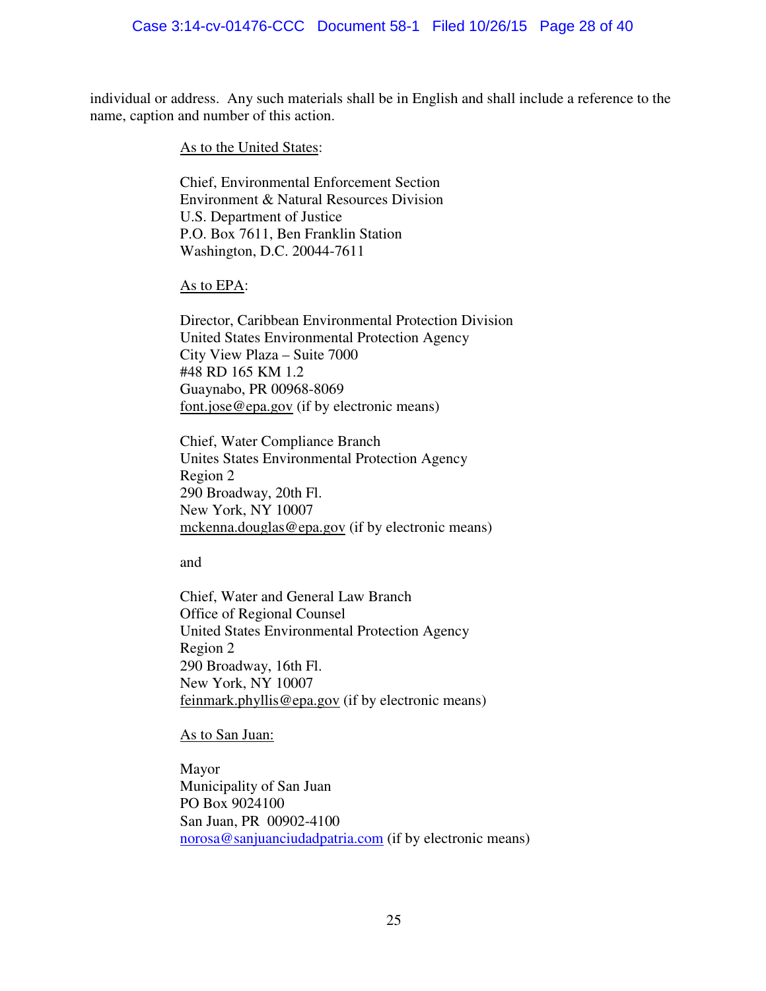individual or address. Any such materials shall be in English and shall include a reference to the name, caption and number of this action.

As to the United States:

Chief, Environmental Enforcement Section Environment & Natural Resources Division U.S. Department of Justice P.O. Box 7611, Ben Franklin Station Washington, D.C. 20044-7611

#### As to EPA:

Director, Caribbean Environmental Protection Division United States Environmental Protection Agency City View Plaza – Suite 7000 #48 RD 165 KM 1.2 Guaynabo, PR 00968-8069 font.jose@epa.gov (if by electronic means)

Chief, Water Compliance Branch Unites States Environmental Protection Agency Region 2 290 Broadway, 20th Fl. New York, NY 10007 mckenna.douglas@epa.gov (if by electronic means)

and

Chief, Water and General Law Branch Office of Regional Counsel United States Environmental Protection Agency Region 2 290 Broadway, 16th Fl. New York, NY 10007 feinmark.phyllis@epa.gov (if by electronic means)

As to San Juan:

Mayor Municipality of San Juan PO Box 9024100 San Juan, PR 00902-4100 [norosa@sanjuanciudadpatria.com](mailto:norosa@sanjuanciudadpatria.com) (if by electronic means)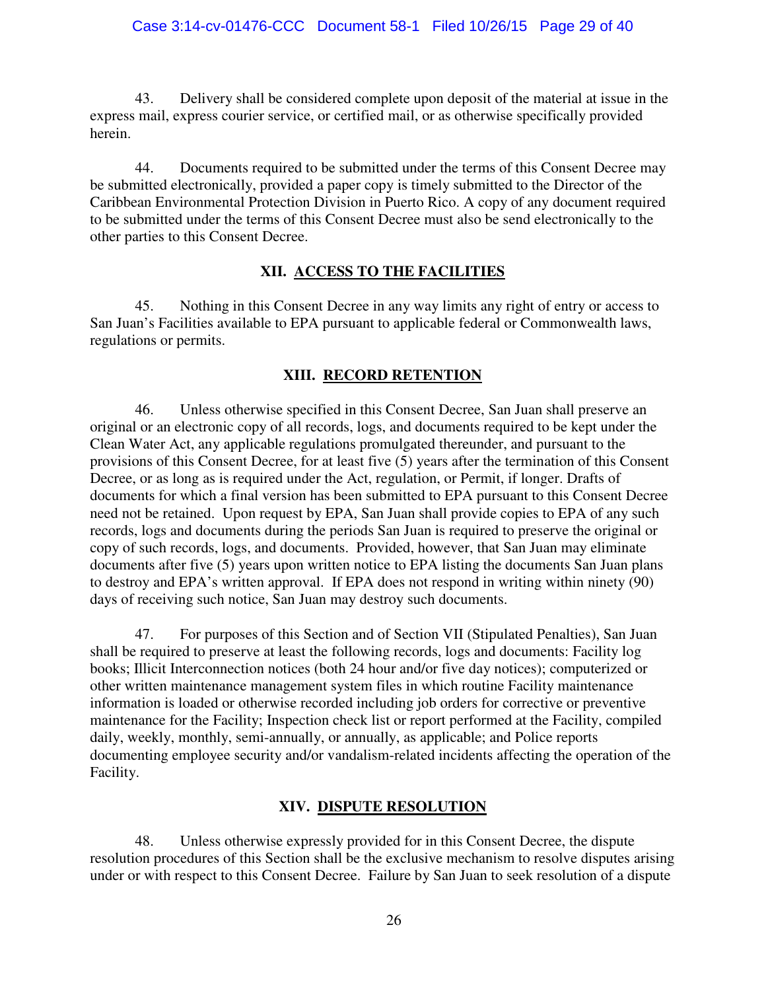43. Delivery shall be considered complete upon deposit of the material at issue in the express mail, express courier service, or certified mail, or as otherwise specifically provided herein.

44. Documents required to be submitted under the terms of this Consent Decree may be submitted electronically, provided a paper copy is timely submitted to the Director of the Caribbean Environmental Protection Division in Puerto Rico. A copy of any document required to be submitted under the terms of this Consent Decree must also be send electronically to the other parties to this Consent Decree.

## **XII. ACCESS TO THE FACILITIES**

<span id="page-28-0"></span>45. Nothing in this Consent Decree in any way limits any right of entry or access to San Juan's Facilities available to EPA pursuant to applicable federal or Commonwealth laws, regulations or permits.

## **XIII. RECORD RETENTION**

<span id="page-28-1"></span>46. Unless otherwise specified in this Consent Decree, San Juan shall preserve an original or an electronic copy of all records, logs, and documents required to be kept under the Clean Water Act, any applicable regulations promulgated thereunder, and pursuant to the provisions of this Consent Decree, for at least five (5) years after the termination of this Consent Decree, or as long as is required under the Act, regulation, or Permit, if longer. Drafts of documents for which a final version has been submitted to EPA pursuant to this Consent Decree need not be retained. Upon request by EPA, San Juan shall provide copies to EPA of any such records, logs and documents during the periods San Juan is required to preserve the original or copy of such records, logs, and documents. Provided, however, that San Juan may eliminate documents after five (5) years upon written notice to EPA listing the documents San Juan plans to destroy and EPA's written approval. If EPA does not respond in writing within ninety (90) days of receiving such notice, San Juan may destroy such documents.

47. For purposes of this Section and of Section VII (Stipulated Penalties), San Juan shall be required to preserve at least the following records, logs and documents: Facility log books; Illicit Interconnection notices (both 24 hour and/or five day notices); computerized or other written maintenance management system files in which routine Facility maintenance information is loaded or otherwise recorded including job orders for corrective or preventive maintenance for the Facility; Inspection check list or report performed at the Facility, compiled daily, weekly, monthly, semi-annually, or annually, as applicable; and Police reports documenting employee security and/or vandalism-related incidents affecting the operation of the Facility.

# **XIV. DISPUTE RESOLUTION**

<span id="page-28-2"></span>48. Unless otherwise expressly provided for in this Consent Decree, the dispute resolution procedures of this Section shall be the exclusive mechanism to resolve disputes arising under or with respect to this Consent Decree. Failure by San Juan to seek resolution of a dispute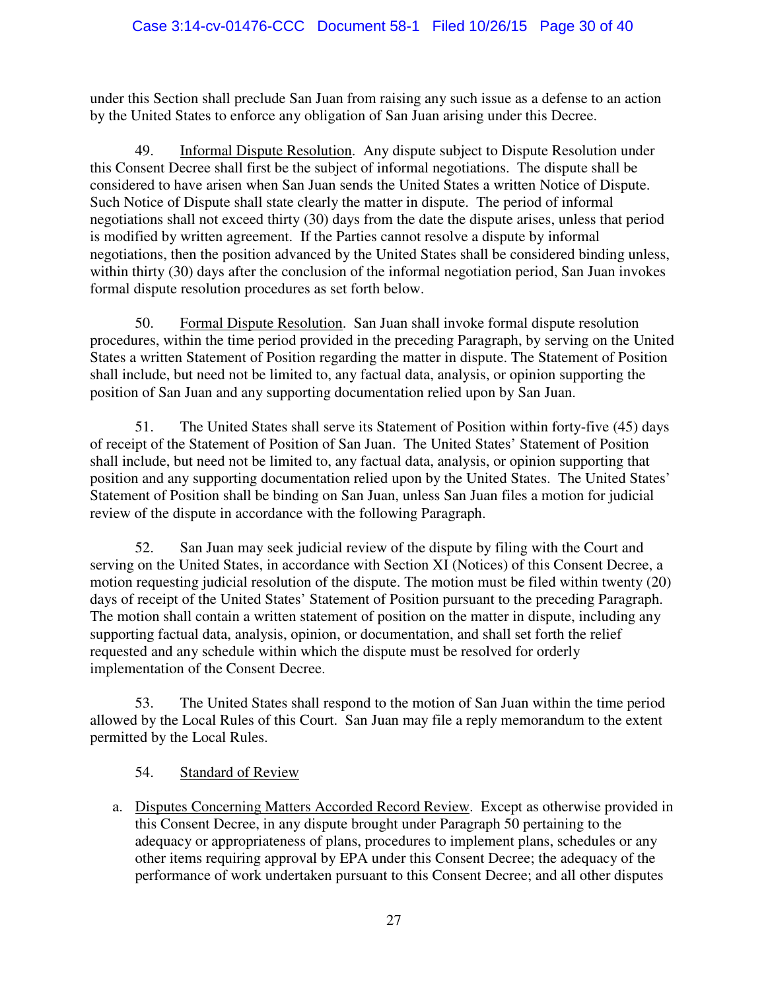## Case 3:14-cv-01476-CCC Document 58-1 Filed 10/26/15 Page 30 of 40

under this Section shall preclude San Juan from raising any such issue as a defense to an action by the United States to enforce any obligation of San Juan arising under this Decree.

49. Informal Dispute Resolution. Any dispute subject to Dispute Resolution under this Consent Decree shall first be the subject of informal negotiations. The dispute shall be considered to have arisen when San Juan sends the United States a written Notice of Dispute. Such Notice of Dispute shall state clearly the matter in dispute. The period of informal negotiations shall not exceed thirty (30) days from the date the dispute arises, unless that period is modified by written agreement. If the Parties cannot resolve a dispute by informal negotiations, then the position advanced by the United States shall be considered binding unless, within thirty (30) days after the conclusion of the informal negotiation period, San Juan invokes formal dispute resolution procedures as set forth below.

50. Formal Dispute Resolution. San Juan shall invoke formal dispute resolution procedures, within the time period provided in the preceding Paragraph, by serving on the United States a written Statement of Position regarding the matter in dispute. The Statement of Position shall include, but need not be limited to, any factual data, analysis, or opinion supporting the position of San Juan and any supporting documentation relied upon by San Juan.

51. The United States shall serve its Statement of Position within forty-five (45) days of receipt of the Statement of Position of San Juan. The United States' Statement of Position shall include, but need not be limited to, any factual data, analysis, or opinion supporting that position and any supporting documentation relied upon by the United States. The United States' Statement of Position shall be binding on San Juan, unless San Juan files a motion for judicial review of the dispute in accordance with the following Paragraph.

52. San Juan may seek judicial review of the dispute by filing with the Court and serving on the United States, in accordance with Section XI (Notices) of this Consent Decree, a motion requesting judicial resolution of the dispute. The motion must be filed within twenty (20) days of receipt of the United States' Statement of Position pursuant to the preceding Paragraph. The motion shall contain a written statement of position on the matter in dispute, including any supporting factual data, analysis, opinion, or documentation, and shall set forth the relief requested and any schedule within which the dispute must be resolved for orderly implementation of the Consent Decree.

53. The United States shall respond to the motion of San Juan within the time period allowed by the Local Rules of this Court. San Juan may file a reply memorandum to the extent permitted by the Local Rules.

54. Standard of Review

a. Disputes Concerning Matters Accorded Record Review. Except as otherwise provided in this Consent Decree, in any dispute brought under Paragraph 50 pertaining to the adequacy or appropriateness of plans, procedures to implement plans, schedules or any other items requiring approval by EPA under this Consent Decree; the adequacy of the performance of work undertaken pursuant to this Consent Decree; and all other disputes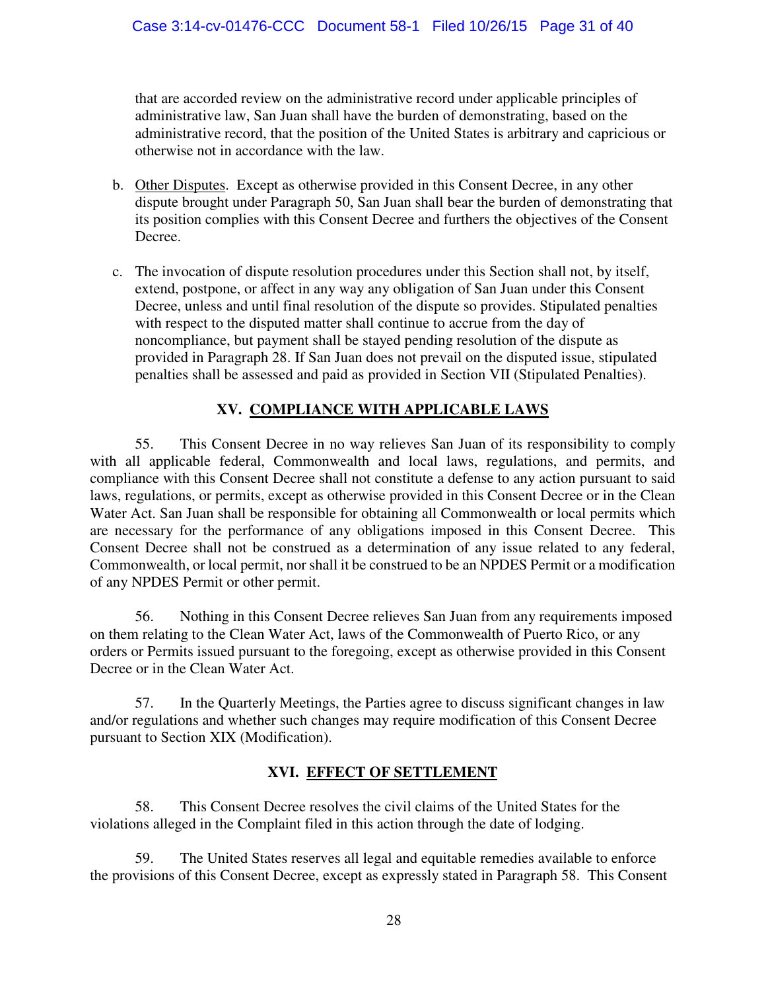that are accorded review on the administrative record under applicable principles of administrative law, San Juan shall have the burden of demonstrating, based on the administrative record, that the position of the United States is arbitrary and capricious or otherwise not in accordance with the law.

- b. Other Disputes. Except as otherwise provided in this Consent Decree, in any other dispute brought under Paragraph 50, San Juan shall bear the burden of demonstrating that its position complies with this Consent Decree and furthers the objectives of the Consent Decree.
- c. The invocation of dispute resolution procedures under this Section shall not, by itself, extend, postpone, or affect in any way any obligation of San Juan under this Consent Decree, unless and until final resolution of the dispute so provides. Stipulated penalties with respect to the disputed matter shall continue to accrue from the day of noncompliance, but payment shall be stayed pending resolution of the dispute as provided in Paragraph 28. If San Juan does not prevail on the disputed issue, stipulated penalties shall be assessed and paid as provided in Section VII (Stipulated Penalties).

# **XV. COMPLIANCE WITH APPLICABLE LAWS**

<span id="page-30-0"></span>55. This Consent Decree in no way relieves San Juan of its responsibility to comply with all applicable federal, Commonwealth and local laws, regulations, and permits, and compliance with this Consent Decree shall not constitute a defense to any action pursuant to said laws, regulations, or permits, except as otherwise provided in this Consent Decree or in the Clean Water Act. San Juan shall be responsible for obtaining all Commonwealth or local permits which are necessary for the performance of any obligations imposed in this Consent Decree. This Consent Decree shall not be construed as a determination of any issue related to any federal, Commonwealth, or local permit, nor shall it be construed to be an NPDES Permit or a modification of any NPDES Permit or other permit.

56. Nothing in this Consent Decree relieves San Juan from any requirements imposed on them relating to the Clean Water Act, laws of the Commonwealth of Puerto Rico, or any orders or Permits issued pursuant to the foregoing, except as otherwise provided in this Consent Decree or in the Clean Water Act.

57. In the Quarterly Meetings, the Parties agree to discuss significant changes in law and/or regulations and whether such changes may require modification of this Consent Decree pursuant to Section XIX (Modification).

# **XVI. EFFECT OF SETTLEMENT**

<span id="page-30-1"></span>58. This Consent Decree resolves the civil claims of the United States for the violations alleged in the Complaint filed in this action through the date of lodging.

59. The United States reserves all legal and equitable remedies available to enforce the provisions of this Consent Decree, except as expressly stated in Paragraph 58. This Consent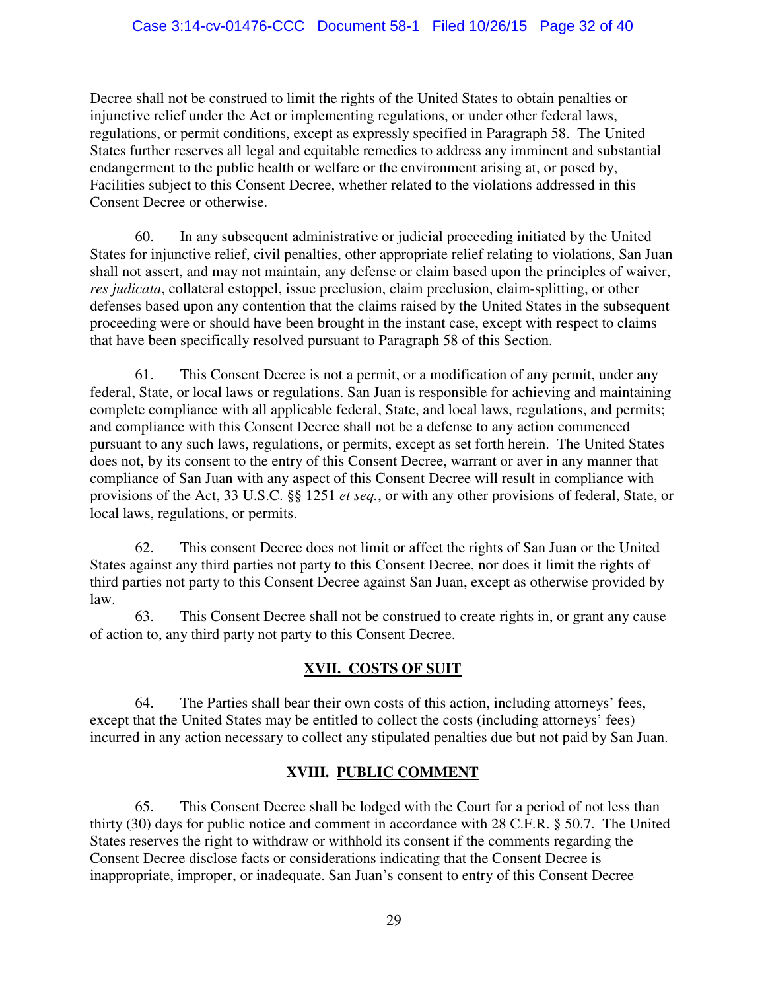Decree shall not be construed to limit the rights of the United States to obtain penalties or injunctive relief under the Act or implementing regulations, or under other federal laws, regulations, or permit conditions, except as expressly specified in Paragraph 58. The United States further reserves all legal and equitable remedies to address any imminent and substantial endangerment to the public health or welfare or the environment arising at, or posed by, Facilities subject to this Consent Decree, whether related to the violations addressed in this Consent Decree or otherwise.

60. In any subsequent administrative or judicial proceeding initiated by the United States for injunctive relief, civil penalties, other appropriate relief relating to violations, San Juan shall not assert, and may not maintain, any defense or claim based upon the principles of waiver, *res judicata*, collateral estoppel, issue preclusion, claim preclusion, claim-splitting, or other defenses based upon any contention that the claims raised by the United States in the subsequent proceeding were or should have been brought in the instant case, except with respect to claims that have been specifically resolved pursuant to Paragraph 58 of this Section.

61. This Consent Decree is not a permit, or a modification of any permit, under any federal, State, or local laws or regulations. San Juan is responsible for achieving and maintaining complete compliance with all applicable federal, State, and local laws, regulations, and permits; and compliance with this Consent Decree shall not be a defense to any action commenced pursuant to any such laws, regulations, or permits, except as set forth herein. The United States does not, by its consent to the entry of this Consent Decree, warrant or aver in any manner that compliance of San Juan with any aspect of this Consent Decree will result in compliance with provisions of the Act, 33 U.S.C. §§ 1251 *et seq.*, or with any other provisions of federal, State, or local laws, regulations, or permits.

62. This consent Decree does not limit or affect the rights of San Juan or the United States against any third parties not party to this Consent Decree, nor does it limit the rights of third parties not party to this Consent Decree against San Juan, except as otherwise provided by law.

63. This Consent Decree shall not be construed to create rights in, or grant any cause of action to, any third party not party to this Consent Decree.

## **XVII. COSTS OF SUIT**

<span id="page-31-0"></span>64. The Parties shall bear their own costs of this action, including attorneys' fees, except that the United States may be entitled to collect the costs (including attorneys' fees) incurred in any action necessary to collect any stipulated penalties due but not paid by San Juan.

# **XVIII. PUBLIC COMMENT**

<span id="page-31-1"></span>65. This Consent Decree shall be lodged with the Court for a period of not less than thirty (30) days for public notice and comment in accordance with 28 C.F.R. § 50.7. The United States reserves the right to withdraw or withhold its consent if the comments regarding the Consent Decree disclose facts or considerations indicating that the Consent Decree is inappropriate, improper, or inadequate. San Juan's consent to entry of this Consent Decree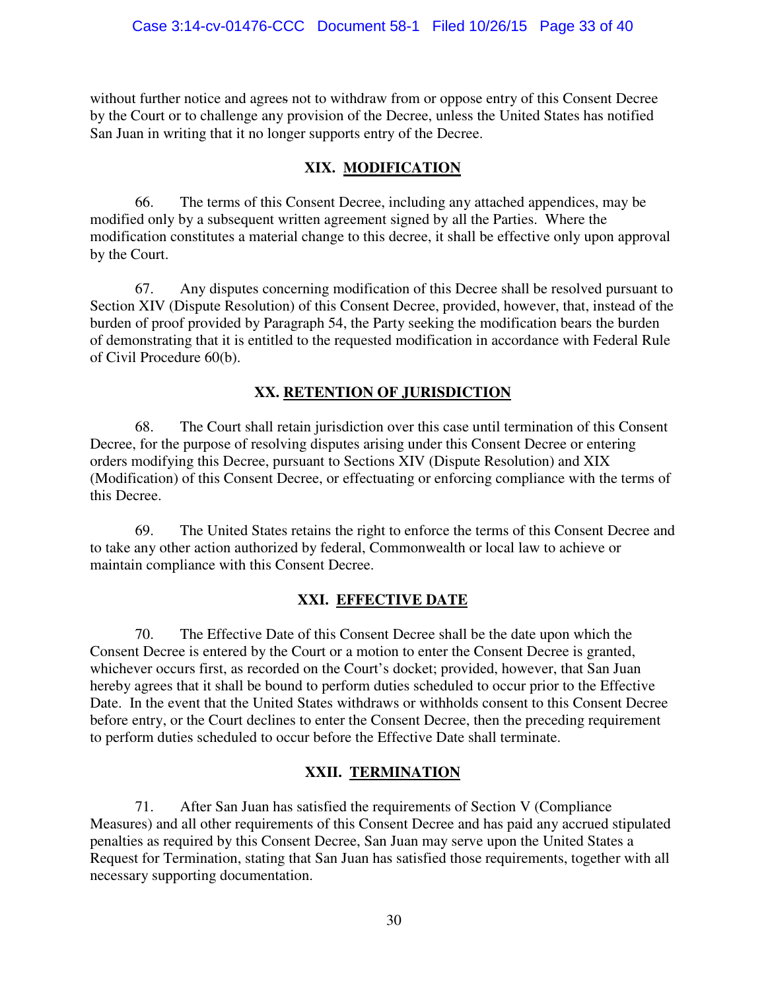without further notice and agrees not to withdraw from or oppose entry of this Consent Decree by the Court or to challenge any provision of the Decree, unless the United States has notified San Juan in writing that it no longer supports entry of the Decree.

## **XIX.****MODIFICATION**

<span id="page-32-0"></span>66. The terms of this Consent Decree, including any attached appendices, may be modified only by a subsequent written agreement signed by all the Parties. Where the modification constitutes a material change to this decree, it shall be effective only upon approval by the Court.

67. Any disputes concerning modification of this Decree shall be resolved pursuant to Section XIV (Dispute Resolution) of this Consent Decree, provided, however, that, instead of the burden of proof provided by Paragraph 54, the Party seeking the modification bears the burden of demonstrating that it is entitled to the requested modification in accordance with Federal Rule of Civil Procedure 60(b).

# **XX. RETENTION OF JURISDICTION**

<span id="page-32-1"></span>68. The Court shall retain jurisdiction over this case until termination of this Consent Decree, for the purpose of resolving disputes arising under this Consent Decree or entering orders modifying this Decree, pursuant to Sections XIV (Dispute Resolution) and XIX (Modification) of this Consent Decree, or effectuating or enforcing compliance with the terms of this Decree.

69. The United States retains the right to enforce the terms of this Consent Decree and to take any other action authorized by federal, Commonwealth or local law to achieve or maintain compliance with this Consent Decree.

# **XXI. EFFECTIVE DATE**

<span id="page-32-2"></span>70. The Effective Date of this Consent Decree shall be the date upon which the Consent Decree is entered by the Court or a motion to enter the Consent Decree is granted, whichever occurs first, as recorded on the Court's docket; provided, however, that San Juan hereby agrees that it shall be bound to perform duties scheduled to occur prior to the Effective Date. In the event that the United States withdraws or withholds consent to this Consent Decree before entry, or the Court declines to enter the Consent Decree, then the preceding requirement to perform duties scheduled to occur before the Effective Date shall terminate.

## **XXII. TERMINATION**

<span id="page-32-3"></span>71. After San Juan has satisfied the requirements of Section V (Compliance Measures) and all other requirements of this Consent Decree and has paid any accrued stipulated penalties as required by this Consent Decree, San Juan may serve upon the United States a Request for Termination, stating that San Juan has satisfied those requirements, together with all necessary supporting documentation.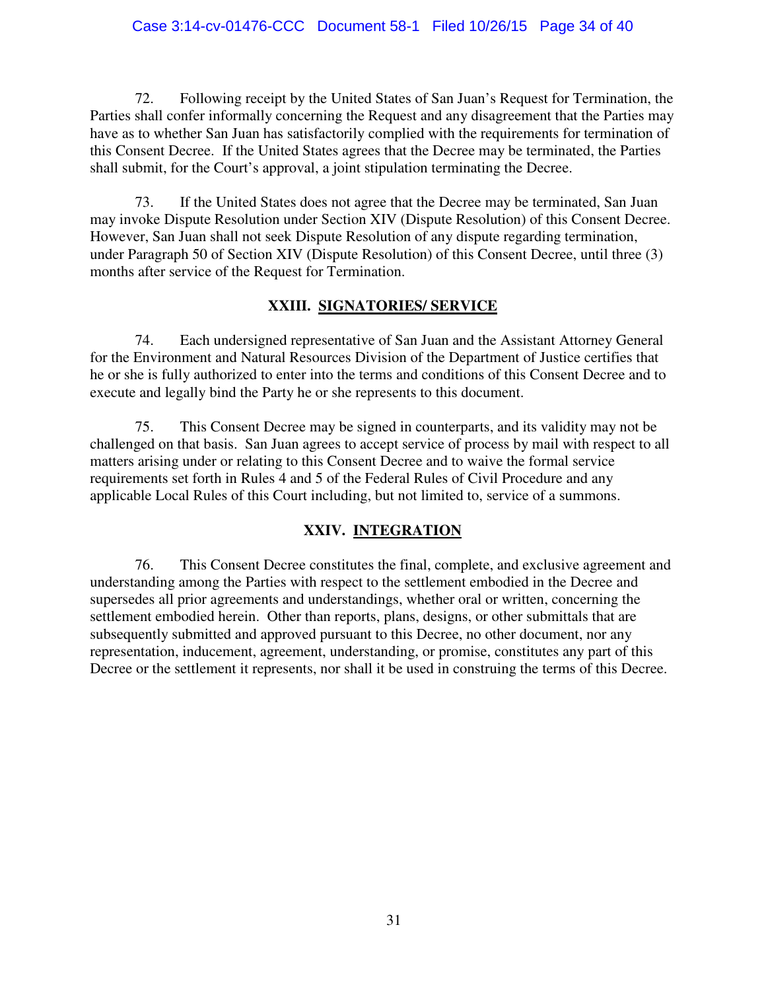### Case 3:14-cv-01476-CCC Document 58-1 Filed 10/26/15 Page 34 of 40

72. Following receipt by the United States of San Juan's Request for Termination, the Parties shall confer informally concerning the Request and any disagreement that the Parties may have as to whether San Juan has satisfactorily complied with the requirements for termination of this Consent Decree. If the United States agrees that the Decree may be terminated, the Parties shall submit, for the Court's approval, a joint stipulation terminating the Decree.

73. If the United States does not agree that the Decree may be terminated, San Juan may invoke Dispute Resolution under Section XIV (Dispute Resolution) of this Consent Decree. However, San Juan shall not seek Dispute Resolution of any dispute regarding termination, under Paragraph 50 of Section XIV (Dispute Resolution) of this Consent Decree, until three (3) months after service of the Request for Termination.

### **XXIII. SIGNATORIES/ SERVICE**

<span id="page-33-0"></span>74. Each undersigned representative of San Juan and the Assistant Attorney General for the Environment and Natural Resources Division of the Department of Justice certifies that he or she is fully authorized to enter into the terms and conditions of this Consent Decree and to execute and legally bind the Party he or she represents to this document.

75. This Consent Decree may be signed in counterparts, and its validity may not be challenged on that basis. San Juan agrees to accept service of process by mail with respect to all matters arising under or relating to this Consent Decree and to waive the formal service requirements set forth in Rules 4 and 5 of the Federal Rules of Civil Procedure and any applicable Local Rules of this Court including, but not limited to, service of a summons.

## **XXIV. INTEGRATION**

<span id="page-33-1"></span>76. This Consent Decree constitutes the final, complete, and exclusive agreement and understanding among the Parties with respect to the settlement embodied in the Decree and supersedes all prior agreements and understandings, whether oral or written, concerning the settlement embodied herein. Other than reports, plans, designs, or other submittals that are subsequently submitted and approved pursuant to this Decree, no other document, nor any representation, inducement, agreement, understanding, or promise, constitutes any part of this Decree or the settlement it represents, nor shall it be used in construing the terms of this Decree.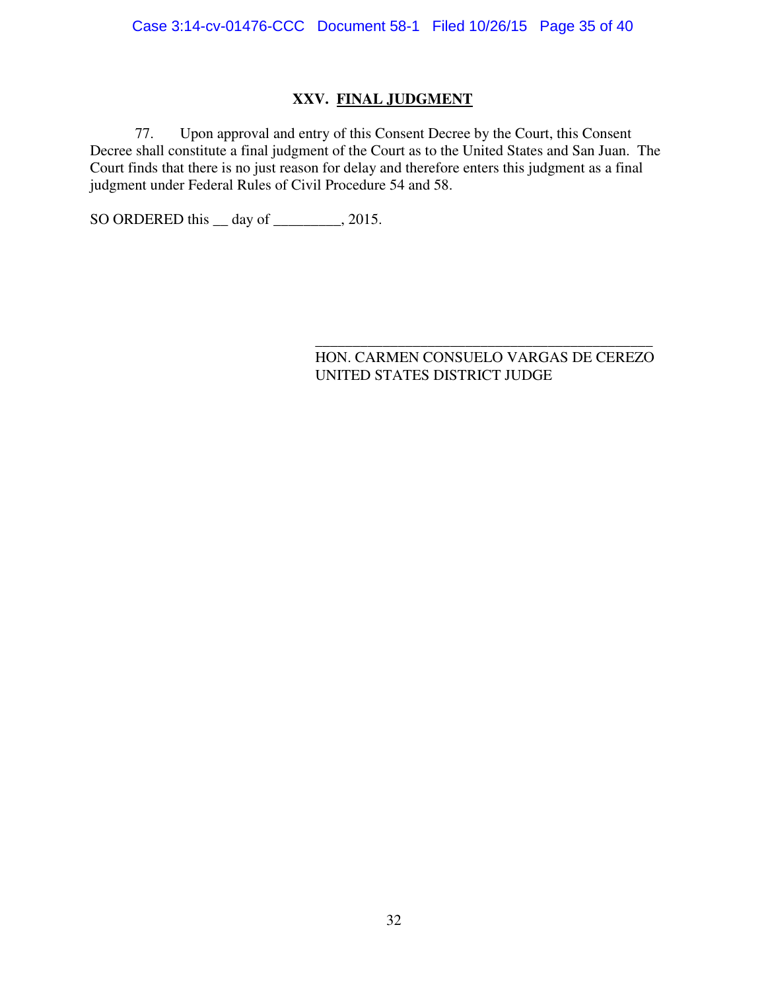## **XXV. FINAL JUDGMENT**

<span id="page-34-0"></span>77. Upon approval and entry of this Consent Decree by the Court, this Consent Decree shall constitute a final judgment of the Court as to the United States and San Juan. The Court finds that there is no just reason for delay and therefore enters this judgment as a final judgment under Federal Rules of Civil Procedure 54 and 58.

SO ORDERED this <u>quare</u> day of <u>quare 2015</u>.

#### \_\_\_\_\_\_\_\_\_\_\_\_\_\_\_\_\_\_\_\_\_\_\_\_\_\_\_\_\_\_\_\_\_\_\_\_\_\_\_\_\_\_\_\_\_ HON. CARMEN CONSUELO VARGAS DE CEREZO UNITED STATES DISTRICT JUDGE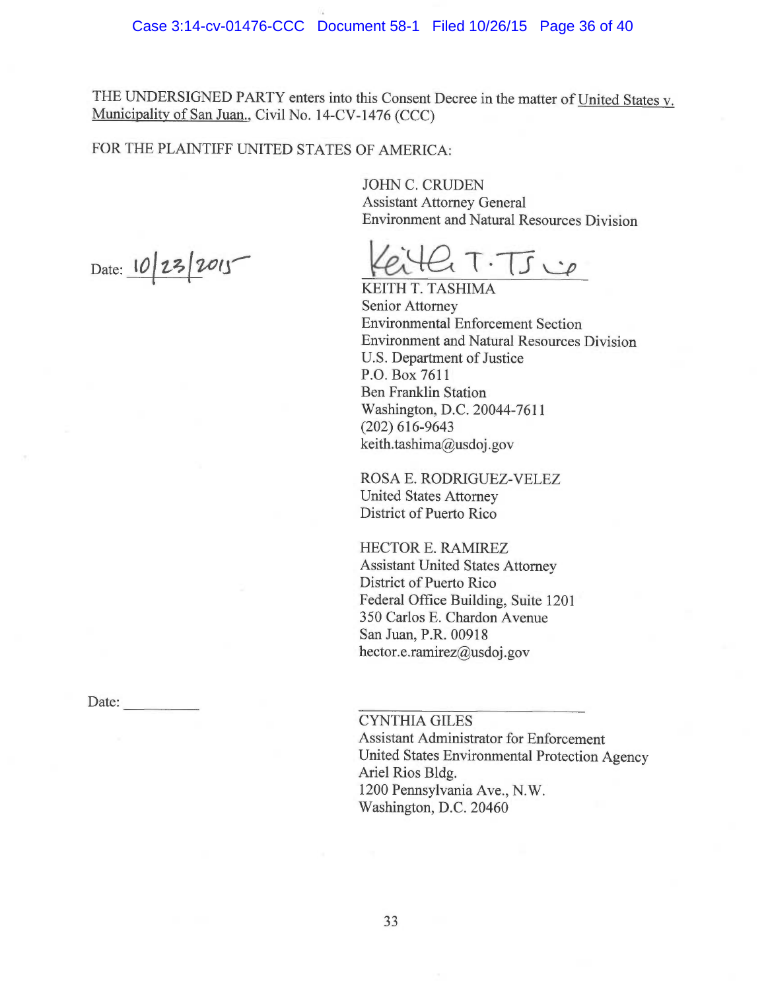THE UNDERSIGNED PARTY enters into this Consent Decree in the matter of United States v. Municipality of San Juan., Civil No. 14-CV-1476 (CCC)

## FOR THE PLAINTIFF UNITED STATES OF AMERICA:

JOHN C. CRUDEN Assistant Attorney General Environment and Natural Resources Division

Date:  $10/23/2015$  Keith T. T. J  $20$ 

KEITH T. TASHIMA Senior Attorney Environmental Enforcement Section Environment and Natural Resources Division U.S. Department of Justice P.O. Box 7611 Ben Franklin Station Washington, D.C. 20044-7611 (202)616-9643 keith. tashima@usdoj.gov

ROSA E. RODRIGUEZ-VELEZ United States Attorney District of Puerto Rico

HECTOR E. RAMIREZ Assistant United States Attorney District of Puerto Rico Federal Office Building, Suite 1201 350 Carlos E. Chaxdon Avenue San Juan, P.R. 00918 hector.e.ramirez@usdoj.gov

CYNTHIA GILES

Assistant Administrator for Enforcement United States Environmental Protection Agency Ariel Rios Bldg. 1200 Pennsylvania Ave., N.W. Washington, D.C. 20460

Date: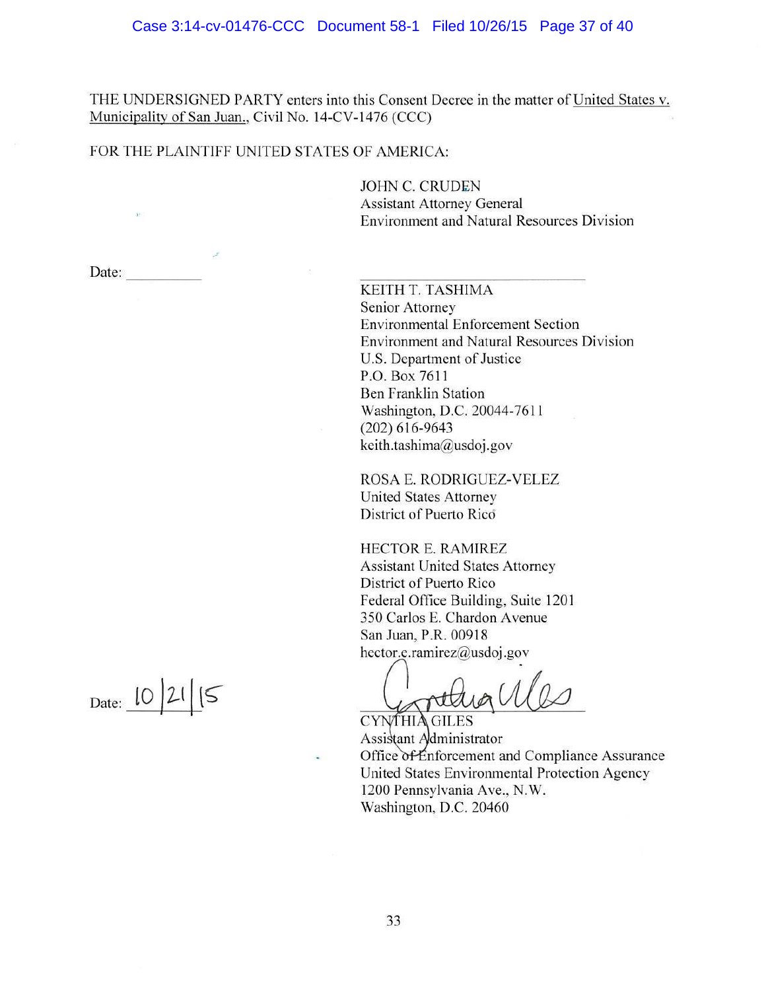THE UNDERSIGNED PARTY enters into this Consent Decree in the matter of United States v. Municipality of San Juan., Civil No. 14-CV-1476 (CCC)

#### FOR THE PLAINTIFF UNITED STATES OF AMERICA:

**JOHN C. CRUDEN Assistant Attorney General** Environment and Natural Resources Division

Date:

KEITH T. TASHIMA Senior Attorney **Environmental Enforcement Section** Environment and Natural Resources Division U.S. Department of Justice P.O. Box 7611 **Ben Franklin Station** Washington, D.C. 20044-7611  $(202)$  616-9643 keith.tashima@usdoj.gov

ROSA E. RODRIGUEZ-VELEZ United States Attorney District of Puerto Rico

HECTOR E. RAMIREZ **Assistant United States Attorney** District of Puerto Rico Federal Office Building, Suite 1201 350 Carlos E. Chardon Avenue San Juan, P.R. 00918 hector.e.ramirez@usdoj.gov

CYNTHIA GILES

Assistant Administrator Office of Enforcement and Compliance Assurance United States Environmental Protection Agency 1200 Pennsylvania Ave., N.W. Washington, D.C. 20460

Date:  $10/21/5$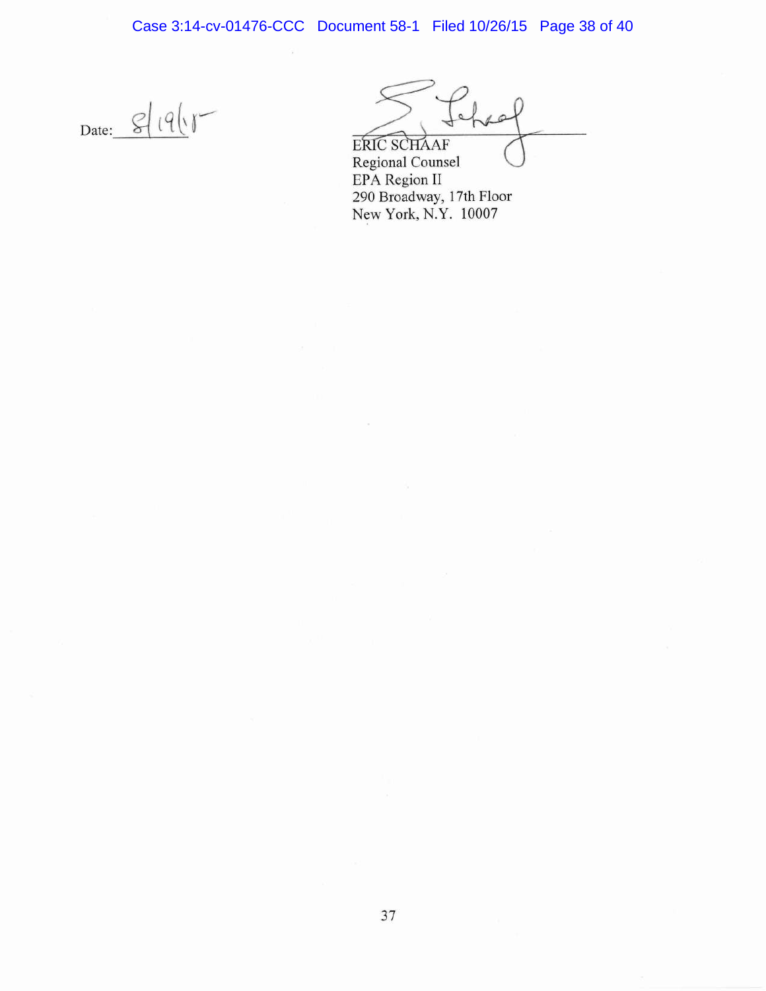Case 3:14-cv-01476-CCC Document 58-1 Filed 10/26/15 Page 38 of 40

Date:  $\frac{g}{g} (9)y$ 

ERIC SCHAAF

Regional Counsel EPA Region II 290 Broadway, 17th Floor New York, N.Y. 10007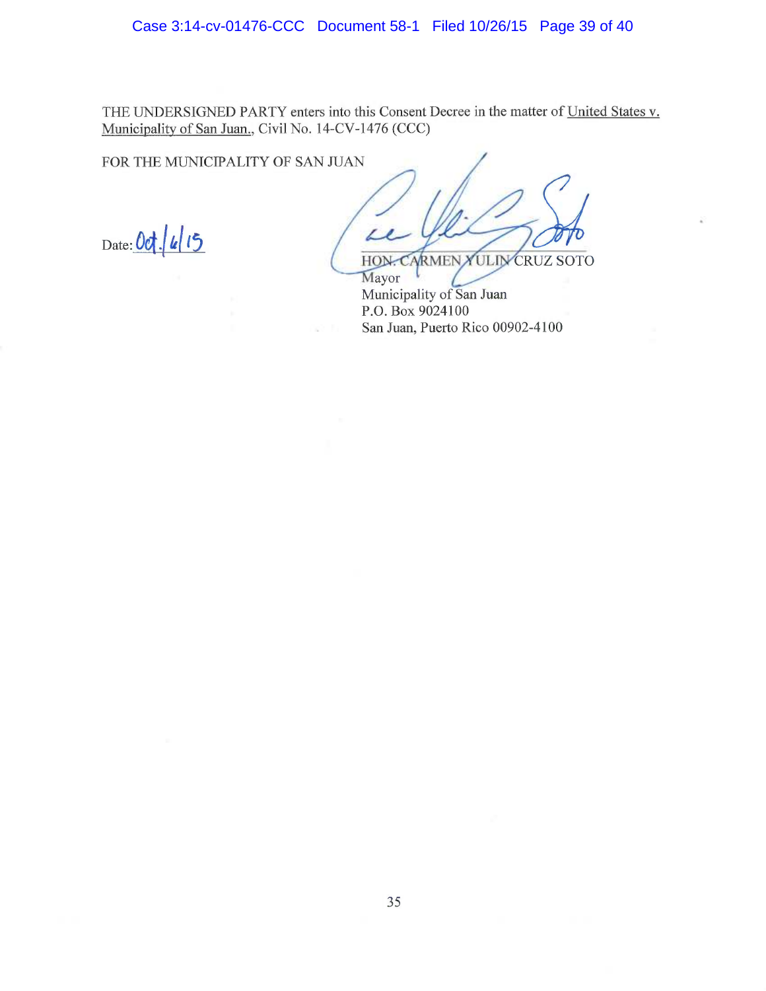THE UNDERSIGNED PARTY enters into this Consent Decree in the matter of United States v. Municipality of San Juan., Civil No. 14-CV-1476 (CCC)

FOR THE MUNICIPALITY OF SAN JUAN

 $_{\text{Date}}:$  Oct.  $|u|$  15

i HON. CARMEN YULIN CRUZ SOTO

Mayor Municipality of San Juan P.O. Box 9024100 San Juan, Puerto Rico 00902-4100